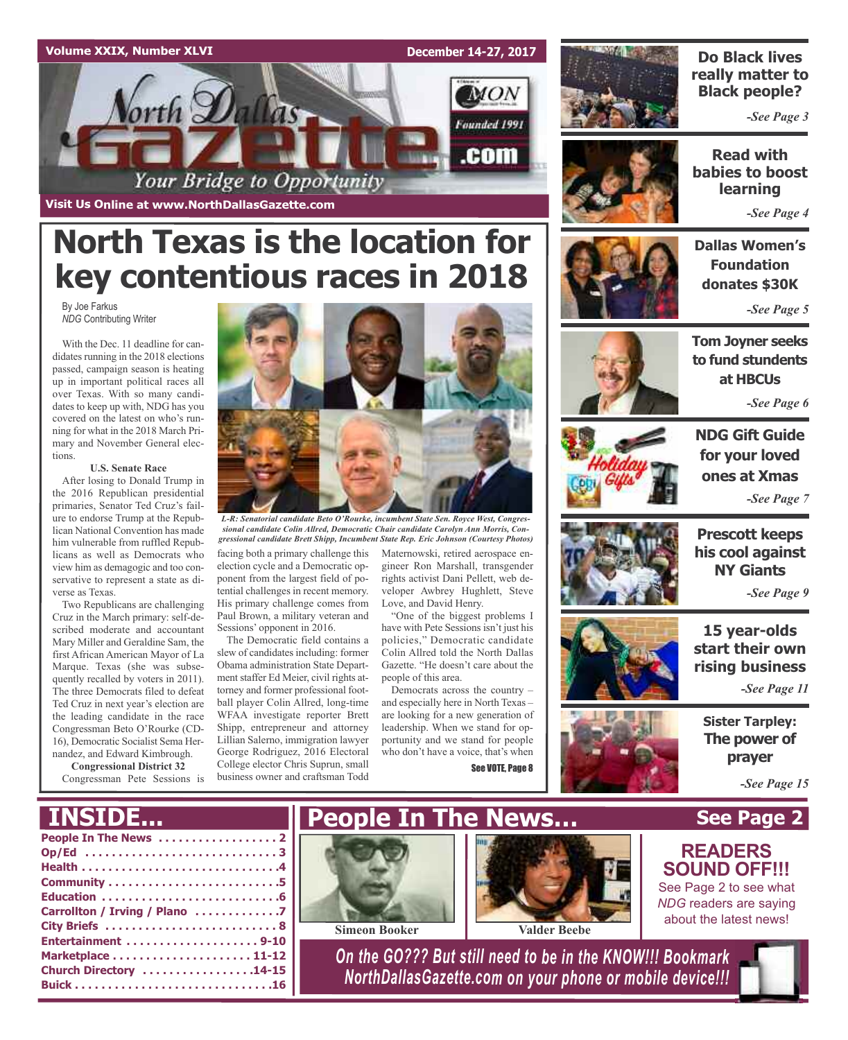### **Volume XXIX, Number XLVI**

By Joe Farkus

tions.

verse as Texas.

*NDG* Contributing Writer

With the Dec. 11 deadline for candidates running in the 2018 elections passed, campaign season is heating up in important political races all over Texas. With so many candidates to keep up with, NDG has you covered on the latest on who's running for what in the 2018 March Primary and November General elec-

**Visit Us Online at www.NorthDallasGazette.com**

orth Dallas

**U.S. Senate Race** After losing to Donald Trump in the 2016 Republican presidential primaries, Senator Ted Cruz's failure to endorse Trump at the Republican National Convention has made him vulnerable from ruffled Republicans as well as Democrats who view him as demagogic and too conservative to represent a state as di-

Two Republicans are challenging Cruz in the March primary: self-described moderate and accountant Mary Miller and Geraldine Sam, the first African American Mayor of La Marque. Texas (she was subsequently recalled by voters in 2011). The three Democrats filed to defeat Ted Cruz in next year's election are the leading candidate in the race Congressman Beto O'Rourke (CD-16), Democratic Socialist Sema Hernandez, and Edward Kimbrough. **Congressional District 32** Congressman Pete Sessions is

**December 14-27, 2017**

 $MON$ 

Founded 1991

.com



### **Do Black lives really matter to Black people?**

*-See Page 3*

**Read with babies to boost learning** *-See Page 4*

**Dallas Women's Foundation donates \$30K**

*-See Page 5*



*-See Page 6*



**NDG Gift Guide for your loved ones at Xmas** *-See Page 7*

**Prescott keeps his cool against NY Giants**

*-See Page 9*

**15 year-olds start their own rising business**

*-See Page 11*

**The power of prayer**

*-See Page 15*

## **INSIDE...**





*L-R: Senatorial candidate Beto O'Rourke, incumbent State Sen. Royce West, Congressional candidate Colin Allred, Democratic Chair candidate Carolyn Ann Morris, Congressional candidate Brett Shipp, Incumbent State Rep. Eric Johnson (Courtesy Photos)*

facing both a primary challenge this election cycle and a Democratic opponent from the largest field of potential challenges in recent memory. His primary challenge comes from Paul Brown, a military veteran and Sessions' opponent in 2016.

**North Texas is the location for**

Your Bridge to Opportunity

The Democratic field contains a slew of candidates including: former Obama administration State Department staffer Ed Meier, civil rights attorney and former professional football player Colin Allred, long-time WFAA investigate reporter Brett Shipp, entrepreneur and attorney Lillian Salerno, immigration lawyer George Rodriguez, 2016 Electoral College elector Chris Suprun, small business owner and craftsman Todd

Maternowski, retired aerospace engineer Ron Marshall, transgender rights activist Dani Pellett, web developer Awbrey Hughlett, Steve Love, and David Henry.

have with Pete Sessions isn't just his policies," Democratic candidate Colin Allred told the North Dallas Gazette. "He doesn't care about the people of this area.

and especially here in North Texas – are looking for a new generation of leadership. When we stand for opportunity and we stand for people who don't have a voice, that's when See VOTE, Page 8



**Sister Tarpley:**

## **See Page 2 READERS**

## **SOUND OFF!!!**

See Page 2 to see what *NDG* readers are saying about the latest news!

*On the GO??? But still need to be in the KNOW!!! Bookmark NorthDallasGazette.com on your phone or mobile device!!!*



"One of the biggest problems I

Democrats across the country –

**People In The News…**

**Simeon Booker Valder Beebe**

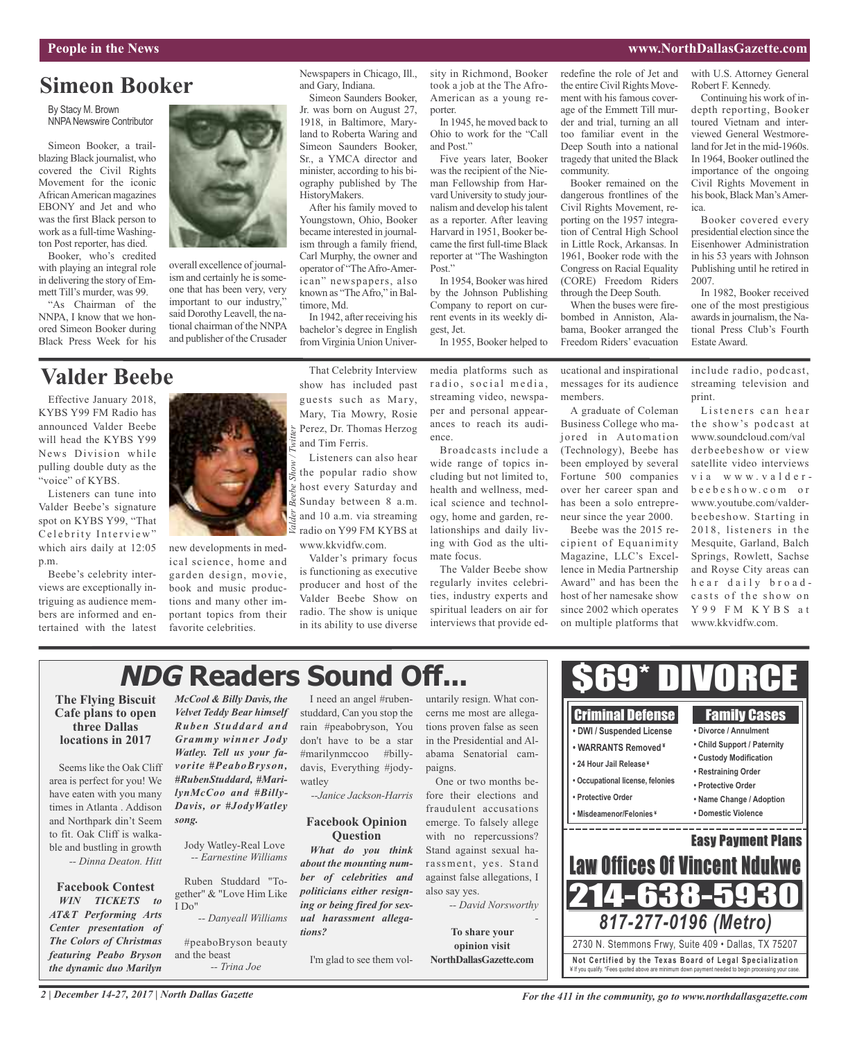### **People in the News www.NorthDallasGazette.com**

## **Simeon Booker**

By Stacy M. Brown NNPA Newswire Contributor

Simeon Booker, a trailblazing Black journalist, who covered the Civil Rights Movement for the iconic African American magazines EBONY and Jet and who was the first Black person to work as a full-time Washington Post reporter, has died.

Booker, who's credited with playing an integral role in delivering the story of Emmett Till's murder, was 99.

"As Chairman of the NNPA, I know that we honored Simeon Booker during Black Press Week for his

## **Valder Beebe**

Effective January 2018, KYBS Y99 FM Radio has announced Valder Beebe will head the KYBS Y99 News Division while pulling double duty as the "voice" of KYBS.

Listeners can tune into Valder Beebe's signature spot on KYBS Y99, "That Celebrity Interview" which airs daily at 12:05 p.m.

Beebe's celebrity interviews are exceptionally intriguing as audience members are informed and entertained with the latest



overall excellence of journalism and certainly he is someone that has been very, very important to our industry," said Dorothy Leavell, the national chairman of the NNPA and publisher of the Crusader

new developments in medical science, home and garden design, movie, book and music productions and many other important topics from their favorite celebrities.

That Celebrity Interview show has included past guests such as Mary, Mary, Tia Mowry, Rosie Perez, Dr. Thomas Herzog and Tim Ferris.

Newspapers in Chicago, Ill.,

Simeon Saunders Booker, Jr. was born on August 27, 1918, in Baltimore, Maryland to Roberta Waring and Simeon Saunders Booker, Sr., a YMCA director and minister, according to his biography published by The

After his family moved to Youngstown, Ohio, Booker became interested in journalism through a family friend, Carl Murphy, the owner and operator of "TheAfro-American" newspapers, also known as "TheAfro," in Bal-

In 1942, after receiving his bachelor's degree in English from Virginia Union Univer-

and Gary, Indiana.

HistoryMakers.

timore, Md.

Listeners can also hear the popular radio show host every Saturday and Sunday between 8 a.m. and 10 a.m. via streaming radio on Y99 FM KYBS at www.kkvidfw.com.

Valder's primary focus is functioning as executive producer and host of the Valder Beebe Show on radio. The show is unique in its ability to use diverse

sity in Richmond, Booker took a job at the The Afro-American as a young reporter.

In 1945, he moved back to Ohio to work for the "Call and Post."

Five years later, Booker was the recipient of the Nieman Fellowship from Harvard University to study journalism and develop histalent as a reporter. After leaving Harvard in 1951, Booker became the first full-time Black reporter at "The Washington Post."

In 1954, Booker was hired by the Johnson Publishing Company to report on current events in its weekly digest, Jet.

In 1955, Booker helped to

media platforms such as radio, social media, streaming video, newspaper and personal appearances to reach its audience.

Broadcasts include a wide range of topics including but not limited to, health and wellness, medical science and technology, home and garden, relationships and daily living with God as the ultimate focus.

The Valder Beebe show regularly invites celebrities, industry experts and spiritual leaders on air for interviews that provide edredefine the role of Jet and the entire Civil Rights Movement with his famous coverage of the Emmett Till murder and trial, turning an all too familiar event in the Deep South into a national tragedy that united the Black community.

Booker remained on the dangerous frontlines of the Civil Rights Movement, reporting on the 1957 integration of Central High School in Little Rock, Arkansas. In 1961, Booker rode with the Congress on Racial Equality (CORE) Freedom Riders through the Deep South.

When the buses were firebombed in Anniston, Alabama, Booker arranged the Freedom Riders' evacuation

ucational and inspirational messages for its audience members.

A graduate of Coleman Business College who majored in Automation (Technology), Beebe has been employed by several Fortune 500 companies over her career span and has been a solo entrepreneur since the year 2000.

Beebe was the 2015 recipient of Equanimity Magazine, LLC's Excellence in Media Partnership Award" and has been the host of her namesake show since 2002 which operates on multiple platforms that

> Criminal Defense **• DWI / Suspended License • WARRANTS Removed ¥ • 24 Hour Jail Release ¥ • Occupational license, felonies**

**• Protective Order • Misdeamenor/Felonies ¥** Robert F. Kennedy. Continuing his work of indepth reporting, Booker

with U.S. Attorney General

toured Vietnam and interviewed General Westmoreland for Jet in the mid-1960s. In 1964, Booker outlined the importance of the ongoing Civil Rights Movement in his book, Black Man's America.

Booker covered every presidential election since the Eisenhower Administration in his 53 years with Johnson Publishing until he retired in 2007.

In 1982, Booker received one of the most prestigious awards in journalism, the National Press Club's Fourth Estate Award.

include radio, podcast, streaming television and print.

Listeners can hear the show's podcast at www.soundcloud.com/val derbeebeshow or view satellite video interviews via www.valderb e e b e s h o w . c o m o r www.youtube.com/valderbeebeshow. Starting in 2018, listeners in the Mesquite, Garland, Balch Springs, Rowlett, Sachse and Royse City areas can h e ar daily broadcasts of the show on Y 9 9 F M K Y B S a t www.kkvidfw.com.

Family Cases **• Divorce / Annulment • Child Support / Paternity • Custody Modification • Restraining Order • Protective Order • Name Change / Adoption • Domestic Violence**

Easy Payment Plans

. <u>. . . . . . . . . . . . . . . .</u>

## **NDG Readers Sound Off...**

### **The Flying Biscuit Cafe plans to open three Dallas locations in 2017**

Seems like the Oak Cliff area is perfect for you! We have eaten with you many times in Atlanta . Addison and Northpark din't Seem to fit. Oak Cliff is walkable and bustling in growth *-- Dinna Deaton. Hitt*

### **Facebook Contest** *WIN TICKETS to*

*AT&T Performing Arts Center presentation of The Colors of Christmas featuring Peabo Bryson the dynamic duo Marilyn*

*McCool & Billy Davis, the Velvet Teddy Bear himself Ruben Studdard and Grammy winner Jody Watley. Tell us your favorite #PeaboBryson, #RubenStuddard, #MarilynMcCoo and #Billy-Davis, or #JodyWatley song.*

Jody Watley-Real Love *-- Earnestine Williams*

Ruben Studdard "Together" & "Love Him Like I Do"

*-- Danyeall Williams*

#peaboBryson beauty and the beast *-- Trina Joe*

I need an angel #rubenstuddard, Can you stop the rain #peabobryson, You don't have to be a star #marilynmccoo #billydavis, Everything #jodywatley

*--Janice Jackson-Harris*

### **Facebook Opinion Question**

*What do you think about the mounting number of celebrities and politicians either resigning or being fired for sexual harassment allegations?*

I'm glad to see them vol-

untarily resign. What concerns me most are allegations proven false as seen in the Presidential and Alabama Senatorial campaigns.

One or two months before their elections and fraudulent accusations emerge. To falsely allege with no repercussions? Stand against sexual harassment, yes. Stand against false allegations, I also say yes.

*-- David Norsworthy*

*-*

**To share your opinion visit NorthDallasGazette.com** 214-638-5

**Not Ce rtified by the Te x a s Boa rd of Lega l Spe c ia l i za tion** ¥ If you qualify. \*Fees quoted above are minimum down payment needed to begin processing your case.

2730 N. Stemmons Frwy, Suite 409 • Dallas, TX 75207

*817-277-0196 (Metro)*

**Law Offices Of Vincent Ndul** 

\$69\* DIVORCE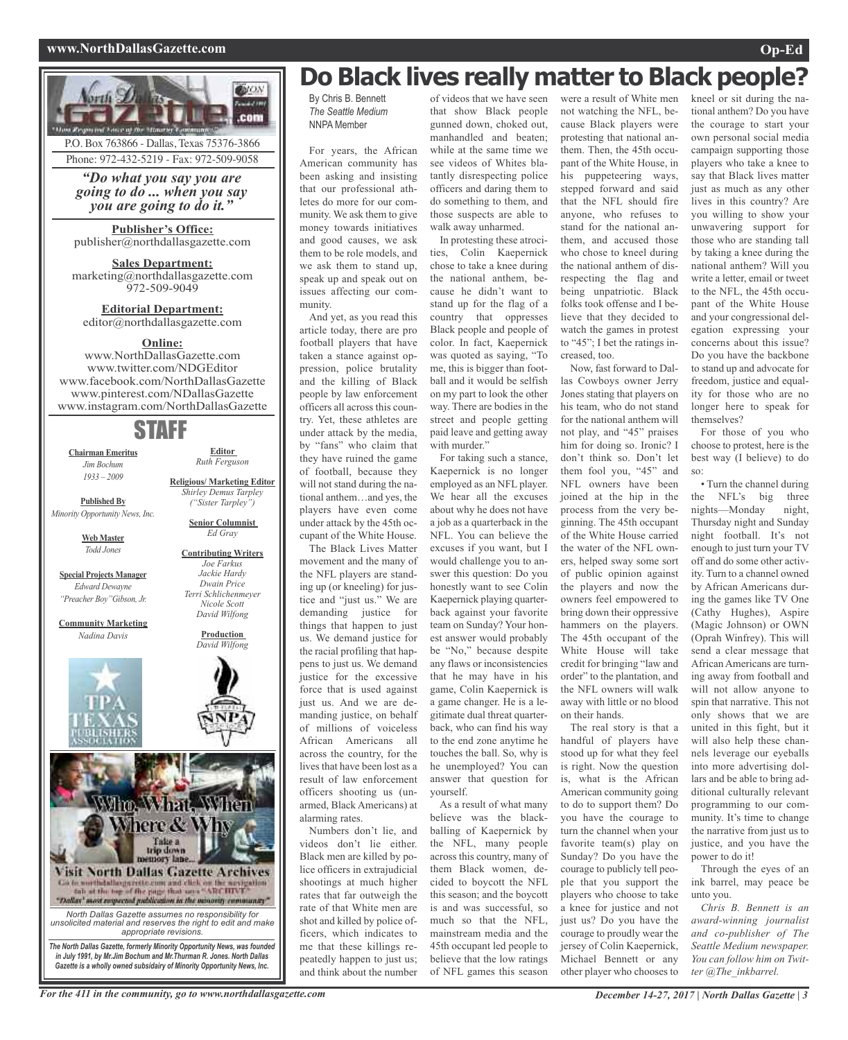### **www.NorthDallasGazette.com Op-Ed**





## **Do Black lives really matter to Black people?**

By Chris B. Bennett *The Seattle Medium* NNPA Member

For years, the African American community has been asking and insisting that our professional athletes do more for our community. We ask them to give money towards initiatives and good causes, we ask them to be role models, and we ask them to stand up, speak up and speak out on issues affecting our community.

And yet, as you read this article today, there are pro football players that have taken a stance against oppression, police brutality and the killing of Black people by law enforcement officers all across this country. Yet, these athletes are under attack by the media, by "fans" who claim that they have ruined the game of football, because they will not stand during the national anthem…and yes, the players have even come under attack by the 45th occupant of the White House.

The Black Lives Matter movement and the many of the NFL players are standing up (or kneeling) for justice and "just us." We are demanding justice for things that happen to just us. We demand justice for the racial profiling that happens to just us. We demand justice for the excessive force that is used against just us. And we are demanding justice, on behalf of millions of voiceless African Americans all across the country, for the lives that have been lost as a result of law enforcement officers shooting us (unarmed, Black Americans) at alarming rates.

Numbers don't lie, and videos don't lie either. Black men are killed by police officers in extrajudicial shootings at much higher rates that far outweigh the rate of that White men are shot and killed by police officers, which indicates to me that these killings repeatedly happen to just us; and think about the number

of videos that we have seen that show Black people gunned down, choked out, manhandled and beaten; while at the same time we see videos of Whites blatantly disrespecting police officers and daring them to do something to them, and those suspects are able to walk away unharmed.

In protesting these atrocities, Colin Kaepernick chose to take a knee during the national anthem, because he didn't want to stand up for the flag of a country that oppresses Black people and people of color. In fact, Kaepernick was quoted as saying, "To me, this is bigger than football and it would be selfish on my part to look the other way. There are bodies in the street and people getting paid leave and getting away with murder."

For taking such a stance, Kaepernick is no longer employed as an NFL player. We hear all the excuses about why he does not have a job as a quarterback in the NFL. You can believe the excuses if you want, but I would challenge you to answer this question: Do you honestly want to see Colin Kaepernick playing quarterback against your favorite team on Sunday? Your honest answer would probably be "No," because despite any flaws or inconsistencies that he may have in his game, Colin Kaepernick is a game changer. He is a legitimate dual threat quarterback, who can find his way to the end zone anytime he touches the ball. So, why is he unemployed? You can answer that question for yourself.

As a result of what many believe was the blackballing of Kaepernick by the NFL, many people across this country, many of them Black women, decided to boycott the NFL this season; and the boycott is and was successful, so much so that the NFL, mainstream media and the 45th occupant led people to believe that the low ratings of NFL games this season

were a result of White men not watching the NFL, because Black players were protesting that national anthem. Then, the 45th occupant of the White House, in his puppeteering ways, stepped forward and said that the NFL should fire anyone, who refuses to stand for the national anthem, and accused those who chose to kneel during the national anthem of disrespecting the flag and being unpatriotic. Black folks took offense and I believe that they decided to watch the games in protest to "45"; I bet the ratings increased, too.

Now, fast forward to Dallas Cowboys owner Jerry Jones stating that players on his team, who do not stand for the national anthem will not play, and "45" praises him for doing so. Ironic? I don't think so. Don't let them fool you, "45" and NFL owners have been joined at the hip in the process from the very beginning. The 45th occupant of the White House carried the water of the NFL owners, helped sway some sort of public opinion against the players and now the owners feel empowered to bring down their oppressive hammers on the players. The 45th occupant of the White House will take credit for bringing "law and order" to the plantation, and the NFL owners will walk away with little or no blood on their hands.

The real story is that a handful of players have stood up for what they feel is right. Now the question is, what is the African American community going to do to support them? Do you have the courage to turn the channel when your favorite team(s) play on Sunday? Do you have the courage to publicly tell people that you support the players who choose to take a knee for justice and not just us? Do you have the courage to proudly wear the jersey of Colin Kaepernick, Michael Bennett or any other player who chooses to

kneel or sit during the national anthem? Do you have the courage to start your own personal social media campaign supporting those players who take a knee to say that Black lives matter just as much as any other lives in this country? Are you willing to show your unwavering support for those who are standing tall by taking a knee during the national anthem? Will you write a letter, email or tweet to the NFL, the 45th occupant of the White House and your congressional delegation expressing your concerns about this issue? Do you have the backbone to stand up and advocate for freedom, justice and equality for those who are no longer here to speak for themselves?

For those of you who choose to protest, here is the best way (I believe) to do so:

• Turn the channel during the NFL's big three nights—Monday night, Thursday night and Sunday night football. It's not enough to just turn your TV off and do some other activity. Turn to a channel owned by African Americans during the games like TV One (Cathy Hughes), Aspire (Magic Johnson) or OWN (Oprah Winfrey). This will send a clear message that African Americans are turning away from football and will not allow anyone to spin that narrative. This not only shows that we are united in this fight, but it will also help these channels leverage our eyeballs into more advertising dollars and be able to bring additional culturally relevant programming to our community. It's time to change the narrative from just us to justice, and you have the power to do it!

Through the eyes of an ink barrel, may peace be unto you.

*Chris B. Bennett is an award-winning journalist and co-publisher of The Seattle Medium newspaper. You can follow him on Twitter @The\_inkbarrel.*

### For the 411 in the community, go to www.northdallasgazette.com December 14-27, 2017 | North Dallas Gazette | 3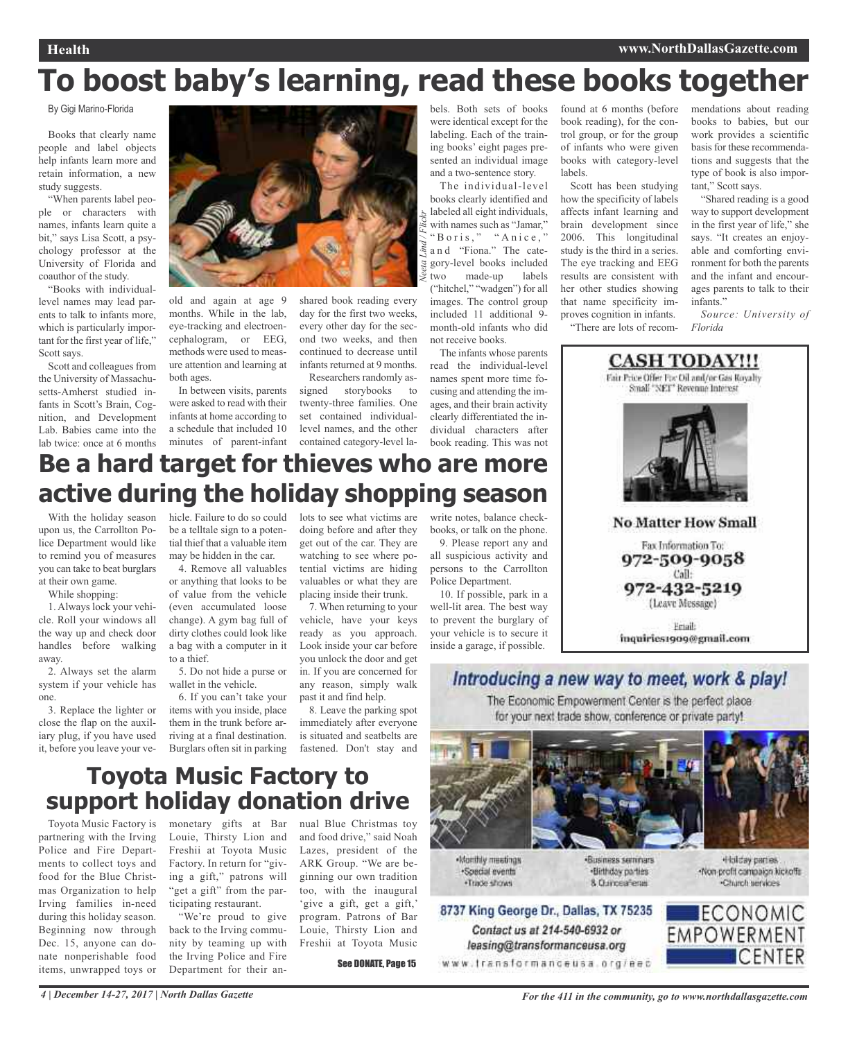## **To boost baby's learning, read these books together**

*Neeta Lind / Flickr*

By Gigi Marino-Florida

Books that clearly name people and label objects help infants learn more and retain information, a new study suggests.

"When parents label people or characters with names, infants learn quite a bit," says Lisa Scott, a psychology professor at the University of Florida and coauthor of the study.

"Books with individuallevel names may lead parents to talk to infants more, which is particularly important for the first year of life," Scott says.

Scott and colleagues from the University of Massachusetts-Amherst studied infants in Scott's Brain, Cognition, and Development Lab. Babies came into the lab twice: once at 6 months



old and again at age 9 months. While in the lab, eye-tracking and electroencephalogram, or EEG, methods were used to measure attention and learning at both ages.

In between visits, parents were asked to read with their infants at home according to a schedule that included 10 minutes of parent-infant shared book reading every day for the first two weeks, every other day for the second two weeks, and then continued to decrease until infants returned at 9 months. Researchers randomly as-

signed storybooks to twenty-three families. One set contained individuallevel names, and the other contained category-level labels. Both sets of books were identical except for the labeling. Each of the training books' eight pages presented an individual image and a two-sentence story.

The individual-level books clearly identified and labeled all eight individuals, with names such as "Jamar," "Boris," "Anice," a n d "Fiona." The category-level books included two made-up labels ("hitchel," "wadgen") for all images. The control group included 11 additional 9 month-old infants who did not receive books.

The infants whose parents read the individual-level names spent more time focusing and attending the images, and their brain activity clearly differentiated the individual characters after book reading. This was not

found at 6 months (before book reading), for the control group, or for the group of infants who were given books with category-level labels.

Scott has been studying how the specificity of labels affects infant learning and brain development since 2006. This longitudinal study is the third in a series. The eye tracking and EEG results are consistent with her other studies showing that name specificity improves cognition in infants. "There are lots of recom-

mendations about reading books to babies, but our work provides a scientific basis for these recommendations and suggests that the type of book is also important," Scott says.

"Shared reading is a good way to support development in the first year of life," she says. "It creates an enjoyable and comforting environment for both the parents and the infant and encourages parents to talk to their infants."

*Source: University of Florida*



## **Be a hard target for thieves who are more active during the holiday shopping season**

With the holiday season upon us, the Carrollton Police Department would like to remind you of measures you can take to beat burglars at their own game.

While shopping:

1. Always lock your vehicle. Roll your windows all the way up and check door handles before walking away.

2. Always set the alarm system if your vehicle has one.

3. Replace the lighter or close the flap on the auxiliary plug, if you have used it, before you leave your vehicle. Failure to do so could be a telltale sign to a potential thief that a valuable item may be hidden in the car.

4. Remove all valuables or anything that looks to be of value from the vehicle (even accumulated loose change). A gym bag full of dirty clothes could look like a bag with a computer in it to a thief.

5. Do not hide a purse or wallet in the vehicle.

6. If you can't take your items with you inside, place them in the trunk before arriving at a final destination. Burglars often sit in parking

lots to see what victims are doing before and after they get out of the car. They are watching to see where potential victims are hiding valuables or what they are placing inside their trunk.

7. When returning to your vehicle, have your keys ready as you approach. Look inside your car before you unlock the door and get in. If you are concerned for any reason, simply walk past it and find help.

8. Leave the parking spot immediately after everyone is situated and seatbelts are fastened. Don't stay and write notes, balance checkbooks, or talk on the phone.

9. Please report any and all suspicious activity and persons to the Carrollton Police Department.

10. If possible, park in a well-lit area. The best way to prevent the burglary of your vehicle is to secure it inside a garage, if possible.



The Economic Empowerment Center is the perfect place. for your next trade show, conference or private party!



**Monthly meetings** ·Special events ·Trade shows

Contact us at 214-540-6932 or

leasing@transformanceusa.org

**Business seminars** ·Birthday parties 8 Currosafena

Holday parties. -Non-profit compaign kickoffs -Church services



**Toyota Music Factory to support holiday donation drive**

Toyota Music Factory is partnering with the Irving Police and Fire Departments to collect toys and food for the Blue Christmas Organization to help Irving families in-need during this holiday season. Beginning now through Dec. 15, anyone can donate nonperishable food items, unwrapped toys or

monetary gifts at Bar nual Blue Christmas toy Louie, Thirsty Lion and Freshii at Toyota Music Factory. In return for "giving a gift," patrons will "get a gift" from the participating restaurant.

"We're proud to give back to the Irving community by teaming up with the Irving Police and Fire Department for their anand food drive," said Noah Lazes, president of the ARK Group. "We are beginning our own tradition too, with the inaugural 'give a gift, get a gift,' program. Patrons of Bar Louie, Thirsty Lion and Freshii at Toyota Music

See DONATE, Page 15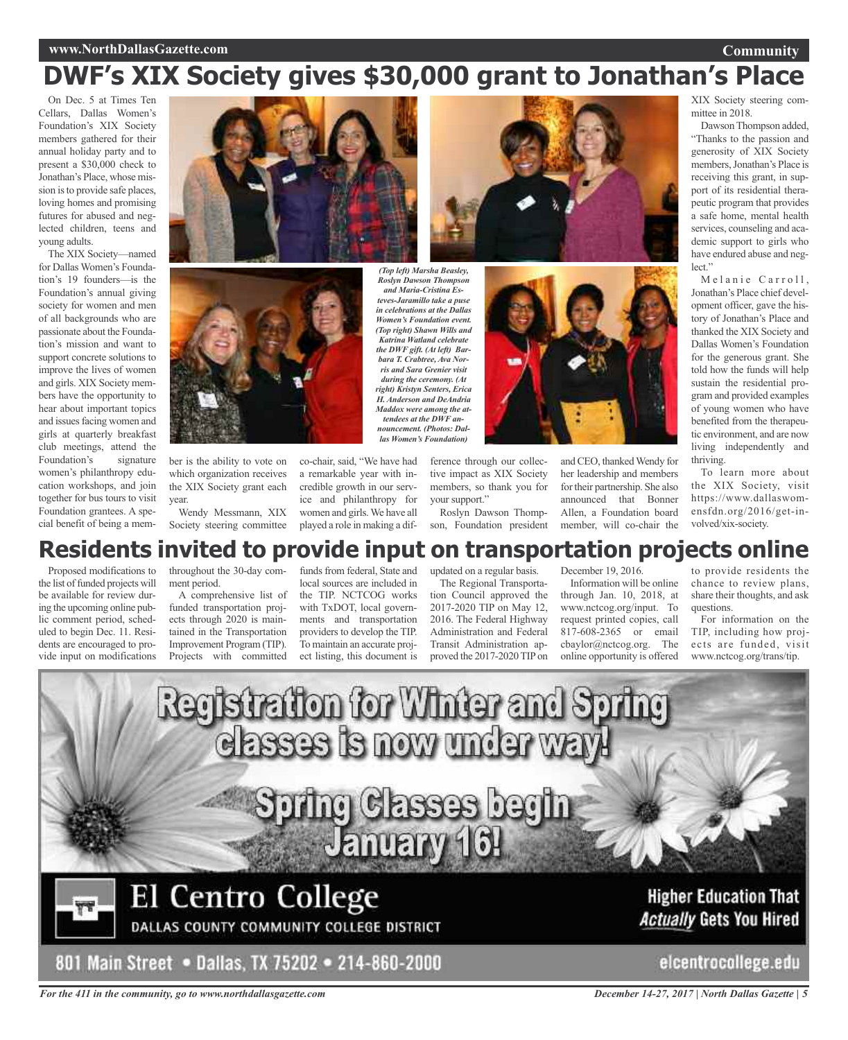### **www.NorthDallasGazette.com**

### **Community**

## **DWF's XIX Society gives \$30,000 grant to Jonathan's Place**

On Dec. 5 at Times Ten Cellars, Dallas Women's Foundation's XIX Society members gathered for their annual holiday party and to present a \$30,000 check to Jonathan's Place, whose mission is to provide safe places, loving homes and promising futures for abused and neglected children, teens and young adults.

The XIX Society—named for Dallas Women's Foundation's 19 founders—is the Foundation's annual giving society for women and men of all backgrounds who are passionate about the Foundation's mission and want to support concrete solutions to improve the lives of women and girls. XIX Society members have the opportunity to hear about important topics and issues facing women and girls at quarterly breakfast club meetings, attend the Foundation's signature women's philanthropy education workshops, and join together for bus tours to visit Foundation grantees. A special benefit of being a mem-





ber is the ability to vote on which organization receives the XIX Society grant each year.

Wendy Messmann, XIX Society steering committee

co-chair, said, "We have had a remarkable year with incredible growth in our service and philanthropy for women and girls.We have all played a role in making a dif-

*teves-Jaramillo take a puse in celebrations at the Dallas Women's Foundation event. (Top right) Shawn Wills and Katrina Watland celebrate the DWF gift. (At left) Barbara T. Crabtree, Ava Norris and Sara Grenier visit during the ceremony. (At right) Kristyn Senters, Erica H. Anderson and DeAndria Maddox were among the attendees at the DWF announcement. (Photos: Dal-*

> ference through our collective impact as XIX Society members, so thank you for your support."

Roslyn Dawson Thompson, Foundation president

XIX Society steering committee in 2018.

Dawson Thompson added, "Thanks to the passion and generosity of XIX Society members,Jonathan's Place is receiving this grant, in support of its residential therapeutic program that provides a safe home, mental health services, counseling and academic support to girls who have endured abuse and neglect."

Melanie Carroll, Jonathan's Place chief development officer, gave the history of Jonathan's Place and thanked the XIX Society and Dallas Women's Foundation for the generous grant. She told how the funds will help sustain the residential program and provided examples of young women who have benefited from the therapeutic environment, and are now living independently and thriving.

To learn more about the XIX Society, visit https://www.dallaswomensfdn.org/2016/get-involved/xix-society.

# *Roslyn Dawson Thompson and Maria-Cristina Eslas Women's Foundation)*

and CEO, thanked Wendy for her leadership and members for their partnership. She also announced that Bonner Allen, a Foundation board member, will co-chair the

**Residents invited to provide input on transportation projects online**

Proposed modifications to the list of funded projects will be available for review during the upcoming online public comment period, scheduled to begin Dec. 11. Residents are encouraged to provide input on modifications throughout the 30-day comment period.

A comprehensive list of funded transportation projects through 2020 is maintained in the Transportation Improvement Program (TIP). Projects with committed

funds from federal, State and local sources are included in the TIP. NCTCOG works with TxDOT, local governments and transportation providers to develop the TIP. To maintain an accurate project listing, this document is

updated on a regular basis. The Regional Transporta-

tion Council approved the 2017-2020 TIP on May 12, 2016. The Federal Highway Administration and Federal Transit Administration approved the 2017-2020TIPon

December 19, 2016. Information will be online through Jan. 10, 2018, at www.nctcog.org/input. To request printed copies, call 817-608-2365 or email cbaylor@nctcog.org. The online opportunity is offered

to provide residents the chance to review plans, share their thoughts, and ask questions.

For information on the TIP, including how projects are funded, visit www.nctcog.org/trans/tip.



*For the 411 in the community, go to www.northdallasgazette.com*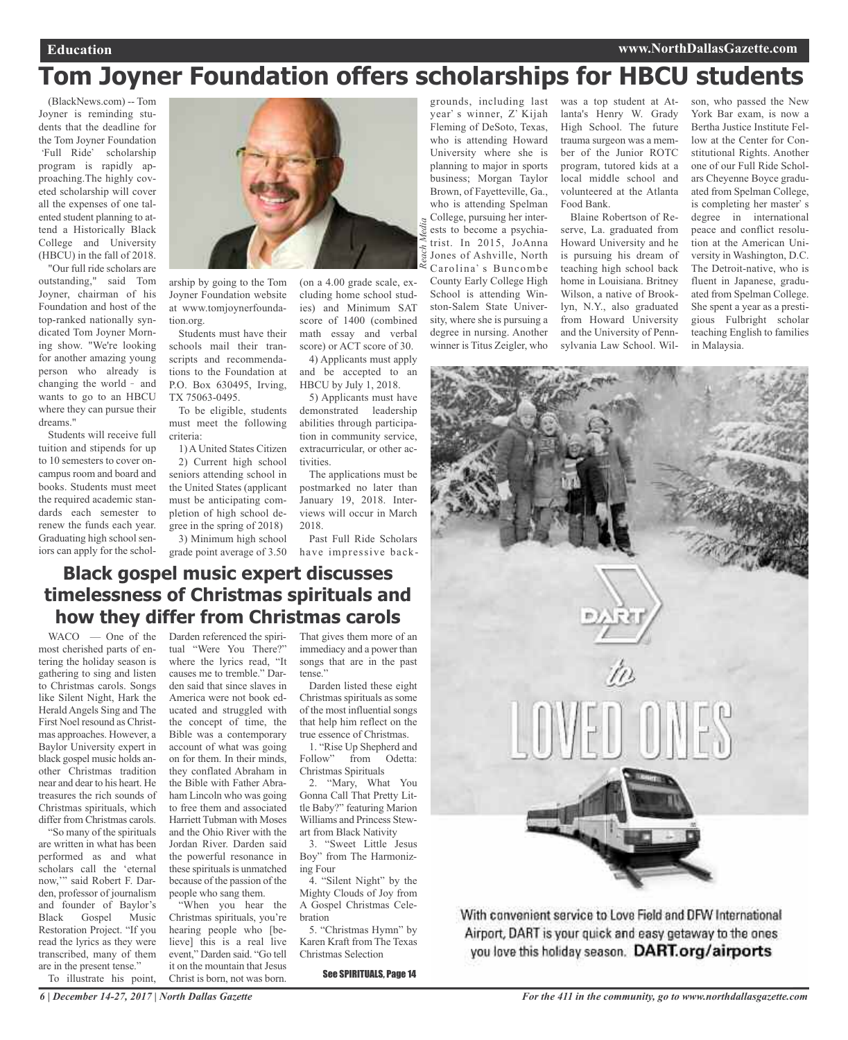## **Tom Joyner Foundation offers scholarships for HBCU students**

*Reach Media*

(BlackNews.com) -- Tom Joyner is reminding students that the deadline for the Tom Joyner Foundation 'Full Ride' scholarship program is rapidly approaching.The highly coveted scholarship will cover all the expenses of one talented student planning to attend a Historically Black College and University (HBCU) in the fall of 2018.

"Our full ride scholars are outstanding," said Tom Joyner, chairman of his Foundation and host of the top-ranked nationally syndicated Tom Joyner Morning show. "We're looking for another amazing young person who already is changing the world - and wants to go to an HBCU where they can pursue their dreams."

Students will receive full tuition and stipends for up to 10 semesters to cover oncampus room and board and books. Students must meet the required academic standards each semester to renew the funds each year. Graduating high school seniors can apply for the schol-



arship by going to the Tom Joyner Foundation website at www.tomjoynerfoundation.org.

Students must have their schools mail their transcripts and recommendations to the Foundation at P.O. Box 630495, Irving, TX 75063-0495.

To be eligible, students must meet the following criteria:

1) A United States Citizen 2) Current high school seniors attending school in the United States (applicant must be anticipating completion of high school degree in the spring of 2018) 3) Minimum high school

grade point average of 3.50

(on a 4.00 grade scale, excluding home school studies) and Minimum SAT score of 1400 (combined math essay and verbal score) or ACT score of 30.

4) Applicants must apply and be accepted to an HBCU by July 1, 2018.

5) Applicants must have demonstrated leadership abilities through participation in community service, extracurricular, or other activities.

The applications must be postmarked no later than January 19, 2018. Interviews will occur in March 2018.

Past Full Ride Scholars have impressive back-

grounds, including last year's winner, Z' Kijah Fleming of DeSoto, Texas, who is attending Howard University where she is planning to major in sports business; Morgan Taylor Brown, of Fayetteville, Ga., who is attending Spelman College, pursuing her interests to become a psychiatrist. In 2015, JoAnna Jones of Ashville, North Carolina's Buncombe County Early College High School is attending Winston-Salem State University, where she is pursuing a degree in nursing. Another winner is Titus Zeigler, who

was a top student at Atlanta's Henry W. Grady High School. The future trauma surgeon was a member of the Junior ROTC program, tutored kids at a local middle school and volunteered at the Atlanta Food Bank.

Blaine Robertson of Reserve, La. graduated from Howard University and he is pursuing his dream of teaching high school back home in Louisiana. Britney Wilson, a native of Brooklyn, N.Y., also graduated from Howard University and the University of Pennsylvania Law School. Wilson, who passed the New York Bar exam, is now a Bertha Justice Institute Fellow at the Center for Constitutional Rights. Another one of our Full Ride Scholars Cheyenne Boyce graduated from Spelman College, is completing her master's degree in international peace and conflict resolution at the American University in Washington, D.C. The Detroit-native, who is fluent in Japanese, graduated from Spelman College. She spent a year as a prestigious Fulbright scholar teaching English to families in Malaysia.



With convenient service to Love Field and DFW International Airport, DART is your quick and easy getaway to the ones you love this holiday season. DART.org/airports

## **Black gospel music expert discusses timelessness of Christmas spirituals and how they differ from Christmas carols**

WACO — One of the most cherished parts of entering the holiday season is gathering to sing and listen to Christmas carols. Songs like Silent Night, Hark the Herald Angels Sing and The First Noel resound as Christmas approaches. However, a Baylor University expert in black gospel music holds another Christmas tradition near and dear to his heart. He treasures the rich sounds of Christmas spirituals, which differ from Christmas carols.

"So many of the spirituals are written in what has been performed as and what scholars call the 'eternal now,'" said Robert F. Darden, professor of journalism and founder of Baylor's Black Gospel Music Restoration Project. "If you read the lyrics as they were transcribed, many of them are in the present tense."

To illustrate his point,

Darden referenced the spiritual "Were You There?" where the lyrics read, "It causes me to tremble." Darden said that since slaves in America were not book educated and struggled with the concept of time, the Bible was a contemporary account of what was going on for them. In their minds, they conflated Abraham in the Bible with Father Abraham Lincoln who was going to free them and associated Harriett Tubman with Moses and the Ohio River with the Jordan River. Darden said the powerful resonance in these spirituals is unmatched because of the passion of the people who sang them. "When you hear the

Christmas spirituals, you're hearing people who [believe] this is a real live event," Darden said. "Go tell it on the mountain that Jesus Christ is born, not was born.

That gives them more of an immediacy and a power than songs that are in the past tense."

Darden listed these eight Christmas spirituals as some of the most influential songs that help him reflect on the true essence of Christmas.

1. "Rise Up Shepherd and Follow" from Odetta: Christmas Spirituals

2. "Mary, What You Gonna Call That Pretty Little Baby?" featuring Marion Williams and Princess Stewart from Black Nativity

3. "Sweet Little Jesus Boy" from The Harmonizing Four

4. "Silent Night" by the Mighty Clouds of Joy from A Gospel Christmas Celebration

5. "Christmas Hymn" by Karen Kraft from The Texas Christmas Selection

See SPIRITUALS, Page 14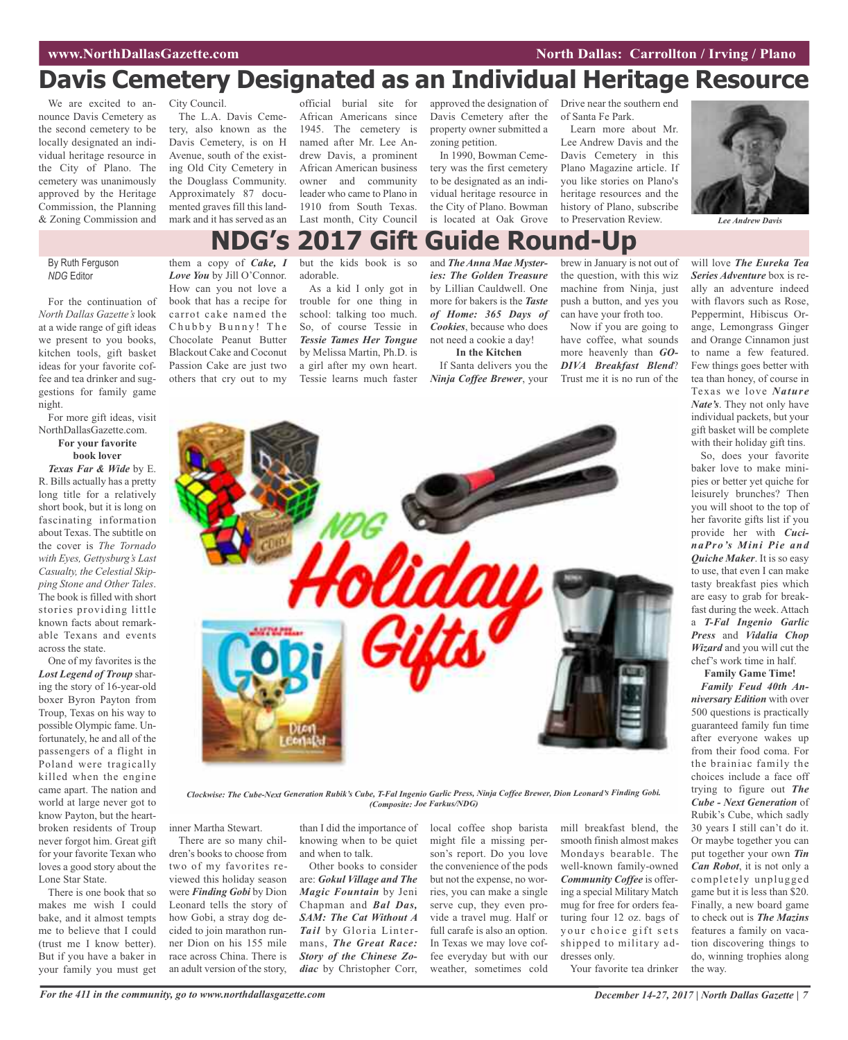## **Davis Cemetery Designated as an Individual Heritage Resource**

We are excited to announce Davis Cemetery as the second cemetery to be locally designated an individual heritage resource in the City of Plano. The cemetery was unanimously approved by the Heritage Commission, the Planning & Zoning Commission and

City Council. The L.A. Davis Cemetery, also known as the Davis Cemetery, is on H Avenue, south of the existing Old City Cemetery in the Douglass Community. Approximately 87 documented graves fill this landmark and it has served as an

official burial site for African Americans since 1945. The cemetery is named after Mr. Lee Andrew Davis, a prominent African American business owner and community leader who came to Plano in 1910 from South Texas. Last month, City Council

approved the designation of Drive near the southern end Davis Cemetery after the property owner submitted a zoning petition.

In 1990, Bowman Cemetery was the first cemetery to be designated as an individual heritage resource in the City of Plano. Bowman is located at Oak Grove of Santa Fe Park.

Learn more about Mr. Lee Andrew Davis and the Davis Cemetery in this Plano Magazine article. If you like stories on Plano's heritage resources and the history of Plano, subscribe to Preservation Review. *Lee Andrew Davis*



## **NDG's 2017 Gift Guide Round-Up**

### By Ruth Ferguson *NDG* Editor

For the continuation of *North Dallas Gazette's* look at a wide range of gift ideas we present to you books, kitchen tools, gift basket ideas for your favorite coffee and tea drinker and suggestions for family game night.

### For more gift ideas, visit NorthDallasGazette.com. **For your favorite book lover**

*Texas Far & Wide* by E. R. Bills actually has a pretty long title for a relatively short book, but it is long on fascinating information about Texas. The subtitle on the cover is *The Tornado with Eyes, Gettysburg's Last Casualty, the Celestial Skipping Stone and Other Tales*. The book is filled with short stories providing little known facts about remarkable Texans and events across the state.

One of my favorites is the *Lost Legend of Troup* sharing the story of 16-year-old boxer Byron Payton from Troup, Texas on his way to possible Olympic fame. Unfortunately, he and all of the passengers of a flight in Poland were tragically killed when the engine came apart. The nation and world at large never got to know Payton, but the heartbroken residents of Troup never forgot him. Great gift for your favorite Texan who loves a good story about the Lone Star State.

There is one book that so makes me wish I could bake, and it almost tempts me to believe that I could (trust me I know better). But if you have a baker in your family you must get them a copy of *Cake, I Love You* by Jill O'Connor. How can you not love a book that has a recipe for carrot cake named the Chubby Bunny! The Chocolate Peanut Butter Blackout Cake and Coconut Passion Cake are just two

others that cry out to my

but the kids book is so adorable.

As a kid I only got in trouble for one thing in school: talking too much. So, of course Tessie in *Tessie Tames Her Tongue* by Melissa Martin, Ph.D. is a girl after my own heart. Tessie learns much faster

and *The Anna Mae Mysteries: The Golden Treasure* by Lillian Cauldwell. One more for bakers is the *Taste of Home: 365 Days of Cookies*, because who does not need a cookie a day! **In the Kitchen**

If Santa delivers you the *Ninja Coffee Brewer*, your brew in January is not out of the question, with this wiz machine from Ninja, just push a button, and yes you can have your froth too.

Now if you are going to have coffee, what sounds more heavenly than *GO-DIVA Breakfast Blend*? Trust me it is no run of the



Clockwise: The Cube-Next Generation Rubik's Cube, T-Fal Ingenio Garlic Press, Ninja Coffee Brewer, Dion Leonard's Finding Gobi. *(Composite: Joe Farkus/NDG)*

inner Martha Stewart.

There are so many children's books to choose from two of my favorites reviewed this holiday season were *Finding Gobi* by Dion Leonard tells the story of how Gobi, a stray dog decided to join marathon runner Dion on his 155 mile race across China. There is an adult version of the story,

than I did the importance of knowing when to be quiet and when to talk.

Other books to consider are: *Gokul Village and The Magic Fountain* by Jeni Chapman and *Bal Das, SAM: The Cat Without A Tail* by Gloria Lintermans, *The Great Race: Story of the Chinese Zodiac* by Christopher Corr,

local coffee shop barista might file a missing person's report. Do you love the convenience of the pods but not the expense, no worries, you can make a single serve cup, they even provide a travel mug. Half or full carafe is also an option. In Texas we may love coffee everyday but with our weather, sometimes cold

mill breakfast blend, the smooth finish almost makes Mondays bearable. The well-known family-owned *Community Coffee* is offering a special Military Match mug for free for orders featuring four 12 oz. bags of your choice gift sets shipped to military addresses only.

Your favorite tea drinker

will love *The Eureka Tea Series Adventure* box is really an adventure indeed with flavors such as Rose, Peppermint, Hibiscus Orange, Lemongrass Ginger and Orange Cinnamon just to name a few featured. Few things goes better with tea than honey, of course in Texas we love *Nature Nate's*. They not only have individual packets, but your gift basket will be complete with their holiday gift tins.

So, does your favorite baker love to make minipies or better yet quiche for leisurely brunches? Then you will shoot to the top of her favorite gifts list if you provide her with *CucinaPro's Mini Pie and Quiche Maker*. It is so easy to use, that even I can make tasty breakfast pies which are easy to grab for breakfast during the week. Attach a *T-Fal Ingenio Garlic Press* and *Vidalia Chop Wizard* and you will cut the chef's work time in half. **Family Game Time!**

*Family Feud 40th Anniversary Edition* with over 500 questions is practically guaranteed family fun time after everyone wakes up from their food coma. For the brainiac family the choices include a face off trying to figure out *The Cube - Next Generation* of Rubik's Cube, which sadly 30 years I still can't do it. Or maybe together you can put together your own *Tin Can Robot*, it is not only a completely unplugged game but it is less than \$20. Finally, a new board game to check out is *The Mazins* features a family on vacation discovering things to do, winning trophies along the way.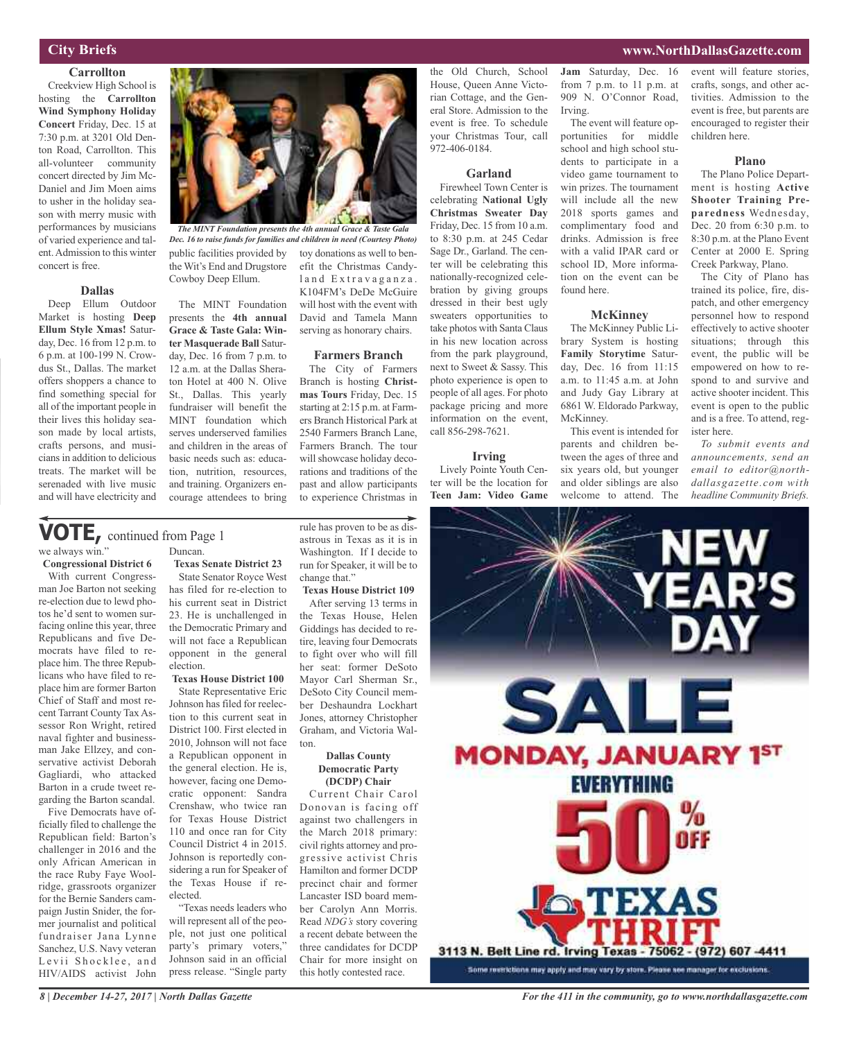### **City Briefs**

### **Carrollton**

Creekview High School is hosting the **Carrollton Wind Symphony Holiday Concert** Friday, Dec. 15 at 7:30 p.m. at 3201 Old Denton Road, Carrollton. This all-volunteer community concert directed by Jim Mc-Daniel and Jim Moen aims to usher in the holiday season with merry music with performances by musicians of varied experience and talent.Admission to this winter concert is free.

### **Dallas**

Deep Ellum Outdoor Market is hosting **Deep Ellum Style Xmas!** Saturday, Dec. 16 from 12 p.m. to 6 p.m. at 100-199 N. Crowdus St., Dallas. The market offers shoppers a chance to find something special for all of the important people in their lives this holiday season made by local artists, crafts persons, and musicians in addition to delicious treats. The market will be serenaded with live music and will have electricity and



public facilities provided by the Wit's End and Drugstore Cowboy Deep Ellum. toy donations as well to benefit the Christmas Candyland Extravaganza. K104FM's DeDe McGuire *The MINT Foundation presents the 4th annual Grace & Taste Gala Dec. 16 to raise funds for families and children in need (Courtesy Photo)*

The MINT Foundation presents the **4th annual Grace & Taste Gala: Winter Masquerade Ball** Saturday, Dec. 16 from 7 p.m. to 12 a.m. at the Dallas Sheraton Hotel at 400 N. Olive St., Dallas. This yearly fundraiser will benefit the MINT foundation which serves underserved families and children in the areas of basic needs such as: education, nutrition, resources, and training. Organizers encourage attendees to bring

### we always win." Duncan. **VOTE,** continued from Page <sup>1</sup>

**Congressional District 6**

With current Congressman Joe Barton not seeking re-election due to lewd photos he'd sent to women surfacing online this year, three Republicans and five Democrats have filed to replace him. The three Republicans who have filed to replace him are former Barton Chief of Staff and most recent Tarrant County Tax Assessor Ron Wright, retired naval fighter and businessman Jake Ellzey, and conservative activist Deborah Gagliardi, who attacked Barton in a crude tweet regarding the Barton scandal.

Five Democrats have officially filed to challenge the Republican field: Barton's challenger in 2016 and the only African American in the race Ruby Faye Woolridge, grassroots organizer for the Bernie Sanders campaign Justin Snider, the former journalist and political fundraiser Jana Lynne Sanchez, U.S. Navy veteran Levii Shocklee, and HIV/AIDS activist John

**Texas Senate District 23** State Senator Royce West has filed for re-election to his current seat in District 23. He is unchallenged in the Democratic Primary and will not face a Republican opponent in the general

election.

**Texas House District 100** State Representative Eric Johnson has filed for reelection to this current seat in District 100. First elected in 2010, Johnson will not face a Republican opponent in the general election. He is, however, facing one Democratic opponent: Sandra Crenshaw, who twice ran for Texas House District 110 and once ran for City Council District 4 in 2015. Johnson is reportedly considering a run for Speaker of the Texas House if reelected.

"Texas needs leaders who will represent all of the people, not just one political party's primary voters," Johnson said in an official press release. "Single party

rule has proven to be as disastrous in Texas as it is in Washington. If I decide to run for Speaker, it will be to change that."

will host with the event with David and Tamela Mann serving as honorary chairs.

**Farmers Branch** The City of Farmers Branch is hosting **Christmas Tours** Friday, Dec. 15 starting at 2:15 p.m. at Farmers Branch Historical Park at 2540 Farmers Branch Lane, Farmers Branch. The tour will showcase holiday decorations and traditions of the past and allow participants to experience Christmas in

**Texas House District 109** After serving 13 terms in the Texas House, Helen Giddings has decided to retire, leaving four Democrats to fight over who will fill her seat: former DeSoto Mayor Carl Sherman Sr., DeSoto City Council member Deshaundra Lockhart Jones, attorney Christopher Graham, and Victoria Walton.

### **Dallas County Democratic Party (DCDP) Chair**

Current Chair Carol Donovan is facing off against two challengers in the March 2018 primary: civil rights attorney and progressive activist Chris Hamilton and former DCDP precinct chair and former Lancaster ISD board member Carolyn Ann Morris. Read *NDG's* story covering a recent debate between the three candidates for DCDP Chair for more insight on this hotly contested race.

the Old Church, School House, Queen Anne Victorian Cottage, and the General Store. Admission to the event is free. To schedule your Christmas Tour, call 972-406-0184.

### **Garland**

Firewheel Town Center is celebrating **National Ugly Christmas Sweater Day** Friday, Dec. 15 from 10 a.m. to 8:30 p.m. at 245 Cedar Sage Dr., Garland. The center will be celebrating this nationally-recognized celebration by giving groups dressed in their best ugly sweaters opportunities to take photos with Santa Claus in his new location across from the park playground, next to Sweet & Sassy. This photo experience is open to people of all ages. For photo package pricing and more information on the event, call 856-298-7621.

### **Irving**

Lively Pointe Youth Center will be the location for **Teen Jam: Video Game** **Jam** Saturday, Dec. 16 from 7 p.m. to 11 p.m. at 909 N. O'Connor Road, Irving.

The event will feature opportunities for middle school and high school students to participate in a video game tournament to win prizes. The tournament will include all the new 2018 sports games and complimentary food and drinks. Admission is free with a valid IPAR card or school ID, More information on the event can be found here.

### **McKinney**

The McKinney Public Library System is hosting **Family Storytime** Saturday, Dec. 16 from 11:15 a.m. to 11:45 a.m. at John and Judy Gay Library at 6861 W. Eldorado Parkway, McKinney.

This event is intended for parents and children between the ages of three and six years old, but younger and older siblings are also welcome to attend. The

event will feature stories, crafts, songs, and other activities. Admission to the event is free, but parents are encouraged to register their children here.

### **Plano**

The Plano Police Department is hosting **Active Shooter Training Preparedness** Wednesday, Dec. 20 from 6:30 p.m. to 8:30 p.m. at the Plano Event Center at 2000 E. Spring Creek Parkway, Plano.

The City of Plano has trained its police, fire, dispatch, and other emergency personnel how to respond effectively to active shooter situations; through this event, the public will be empowered on how to respond to and survive and active shooter incident. This event is open to the public and is a free. To attend, register here.

*To submit events and announcements, send an email to editor@northdallasgazette.com with headline Community Briefs.*



**www.NorthDallasGazette.com**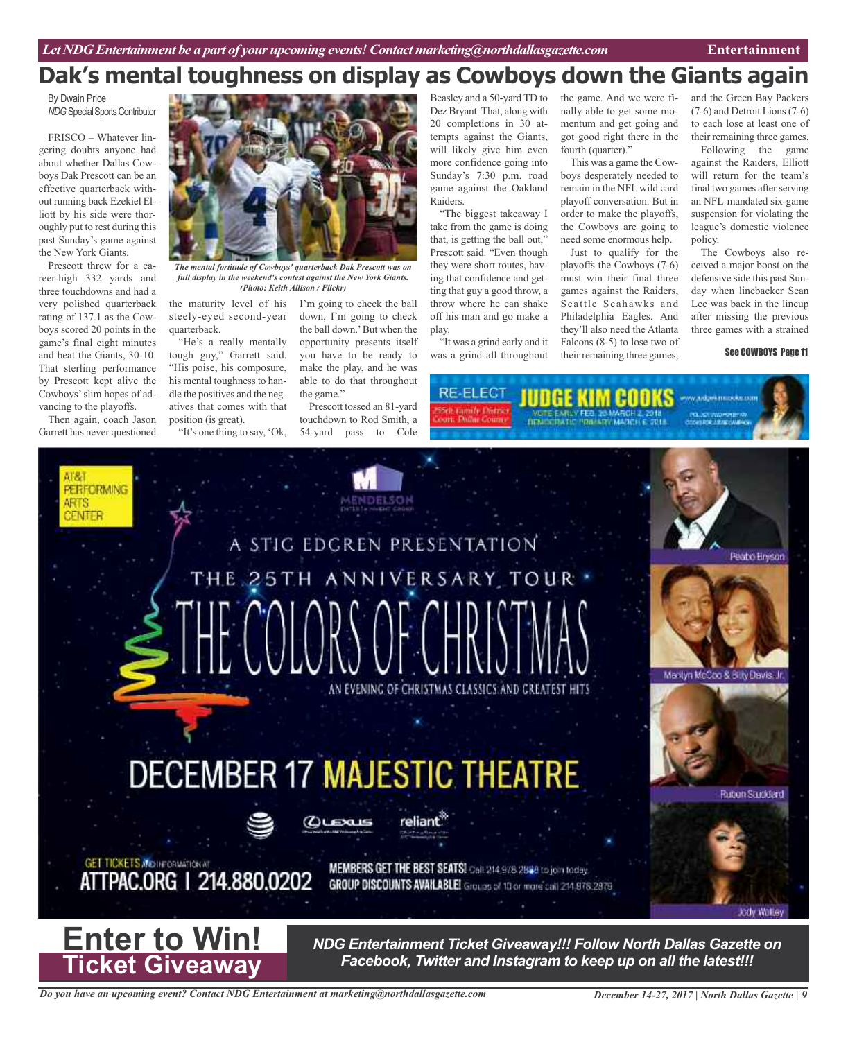## **Dak's mental toughness on display as Cowboys down the Giants again**

By Dwain Price **NDG** Special Sports Contributor

FRISCO – Whatever lingering doubts anyone had about whether Dallas Cowboys Dak Prescott can be an effective quarterback without running back Ezekiel Elliott by his side were thoroughly put to rest during this past Sunday's game against the New York Giants.

Prescott threw for a career-high 332 yards and three touchdowns and had a very polished quarterback rating of 137.1 as the Cowboys scored 20 points in the game's final eight minutes and beat the Giants, 30-10. That sterling performance by Prescott kept alive the Cowboys'slim hopes of advancing to the playoffs.

Then again, coach Jason Garrett has never questioned



*The mental fortitude of Cowboys' quarterback Dak Prescott was on full display in the weekend's contest against the New York Giants. (Photo: Keith Allison / Flickr)*

the maturity level of his I'm going to check the ball steely-eyed second-year quarterback.

"He's a really mentally tough guy," Garrett said. "His poise, his composure, his mental toughness to handle the positives and the negatives that comes with that position (is great).

"It's one thing to say, 'Ok,

down, I'm going to check the ball down.'But when the opportunity presents itself you have to be ready to make the play, and he was able to do that throughout the game."

Prescott tossed an 81-yard touchdown to Rod Smith, a 54-yard pass to Cole

Beasley and a 50-yard TD to Dez Bryant. That, along with 20 completions in 30 attempts against the Giants, will likely give him even more confidence going into Sunday's 7:30 p.m. road game against the Oakland Raiders.

"The biggest takeaway I take from the game is doing that, is getting the ball out," Prescott said. "Even though they were short routes, having that confidence and getting that guy a good throw, a throw where he can shake off his man and go make a play.

"It was a grind early and it was a grind all throughout

the game. And we were finally able to get some momentum and get going and got good right there in the fourth (quarter)."

This was a game the Cowboys desperately needed to remain in the NFL wild card playoff conversation. But in order to make the playoffs, the Cowboys are going to need some enormous help.

Just to qualify for the playoffs the Cowboys (7-6) must win their final three games against the Raiders, Seattle Seahawks and Philadelphia Eagles. And they'll also need the Atlanta Falcons (8-5) to lose two of their remaining three games,

and the Green Bay Packers (7-6) and Detroit Lions(7-6) to each lose at least one of their remaining three games.

Following the game against the Raiders, Elliott will return for the team's final two games after serving an NFL-mandated six-game suspension for violating the league's domestic violence policy.

The Cowboys also received a major boost on the defensive side this past Sunday when linebacker Sean Lee was back in the lineup after missing the previous three games with a strained

### See COWBOYS Page 11

RE-ELECT **THISE KIM HI** 



*Do you have an upcoming event? Contact NDG Entertainment at marketing@northdallasgazette.com*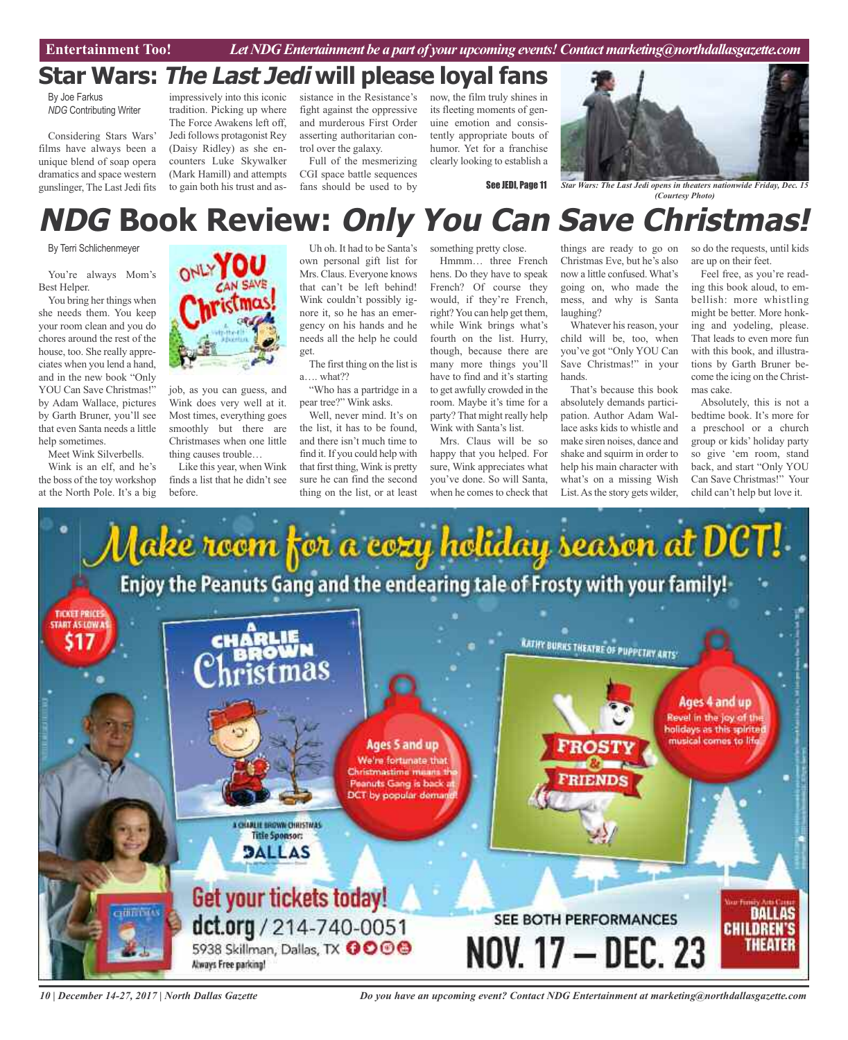## **Star Wars: The Last Jedi will please loyal fans**

By Joe Farkus *NDG* Contributing Writer

Considering Stars Wars' films have always been a unique blend of soap opera dramatics and space western gunslinger, The LastJedi fits

impressively into this iconic tradition. Picking up where The Force Awakens left off, Jedi follows protagonist Rey (Daisy Ridley) as she encounters Luke Skywalker (Mark Hamill) and attempts to gain both his trust and as-

sistance in the Resistance's fight against the oppressive and murderous First Order asserting authoritarian control over the galaxy.

Full of the mesmerizing CGI space battle sequences fans should be used to by

now, the film truly shines in its fleeting moments of genuine emotion and consistently appropriate bouts of humor. Yet for a franchise clearly looking to establish a

See JEDI, Page 11



*Star Wars: The Last Jedi opens in theaters nationwide Friday, Dec. 15 (Courtesy Photo)*

# **NDG Book Review: Only You Can Save Christmas!**

By Terri Schlichenmeyer

You're always Mom's Best Helper.

You bring her things when she needs them. You keep your room clean and you do chores around the rest of the house, too. She really appreciates when you lend a hand, and in the new book "Only YOU Can Save Christmas!" by Adam Wallace, pictures by Garth Bruner, you'll see that even Santa needs a little help sometimes.

Meet Wink Silverbells.

Wink is an elf, and he's the boss of the toy workshop at the North Pole. It's a big



job, as you can guess, and Wink does very well at it. Most times, everything goes smoothly but there are Christmases when one little thing causes trouble…

Like this year, when Wink finds a list that he didn't see before.

Uh oh. It had to be Santa's own personal gift list for Mrs. Claus. Everyone knows that can't be left behind! Wink couldn't possibly ignore it, so he has an emergency on his hands and he needs all the help he could get.

The first thing on the list is a…. what??

"Who has a partridge in a pear tree?" Wink asks.

Well, never mind. It's on the list, it has to be found, and there isn't much time to find it. If you could help with that first thing, Wink is pretty sure he can find the second thing on the list, or at least

something pretty close. Hmmm… three French

hens. Do they have to speak French? Of course they would, if they're French, right?You can help get them, while Wink brings what's fourth on the list. Hurry, though, because there are many more things you'll have to find and it's starting to get awfully crowded in the room. Maybe it's time for a party? That might really help Wink with Santa's list.

Mrs. Claus will be so happy that you helped. For sure, Wink appreciates what you've done. So will Santa, when he comes to check that

things are ready to go on Christmas Eve, but he's also now a little confused. What's going on, who made the mess, and why is Santa laughing?

Whatever his reason, your child will be, too, when you've got "Only YOU Can Save Christmas!" in your hands.

That's because this book absolutely demands participation. Author Adam Wallace asks kids to whistle and make siren noises, dance and shake and squirm in order to help his main character with what's on a missing Wish List. As the story gets wilder,

so do the requests, until kids are up on their feet.

Feel free, as you're reading this book aloud, to embellish: more whistling might be better. More honking and yodeling, please. That leads to even more fun with this book, and illustrations by Garth Bruner become the icing on the Christmas cake.

Absolutely, this is not a bedtime book. It's more for a preschool or a church group or kids' holiday party so give 'em room, stand back, and start "Only YOU Can Save Christmas!" Your child can't help but love it.



*10 | December 14-27, 2017 | North Dallas Gazette*

*Do you have an upcoming event? Contact NDG Entertainment at marketing@northdallasgazette.com*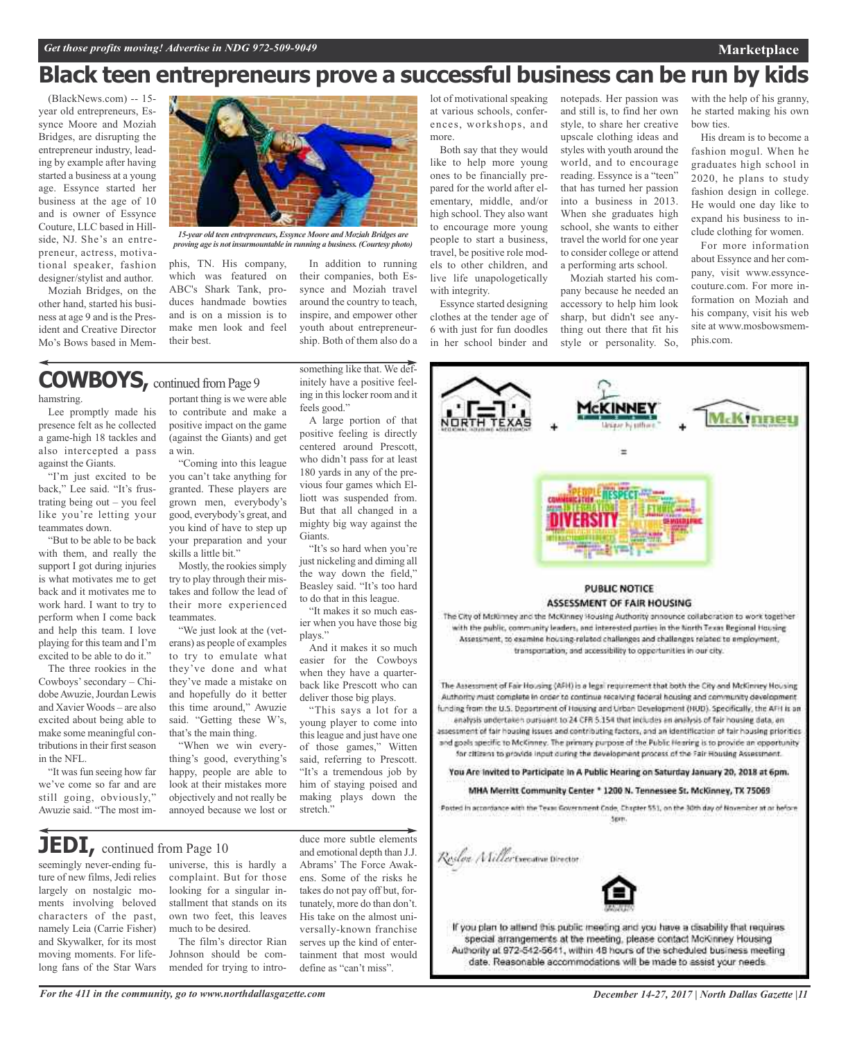## **Black teen entrepreneurs prove a successful business can be run by kids**

(BlackNews.com) -- 15 year old entrepreneurs, Essynce Moore and Moziah Bridges, are disrupting the entrepreneur industry, leading by example after having started a business at a young age. Essynce started her business at the age of 10 and is owner of Essynce Couture, LLC based in Hillside, NJ. She's an entrepreneur, actress, motivational speaker, fashion designer/stylist and author.

Moziah Bridges, on the other hand, started his business at age 9 and is the President and Creative Director Mo's Bows based in Mem-



*15-year old teen entrepreneurs, Essynce Moore and Moziah Bridges are proving age is not insurmountable in running a business. (Courtesy photo)*

phis, TN. His company, which was featured on ABC's Shark Tank, produces handmade bowties and is on a mission is to make men look and feel their best.

In addition to running their companies, both Essynce and Moziah travel around the country to teach, inspire, and empower other youth about entrepreneurship. Both of them also do a

feels good."

Giants.

plays."

stretch."

to do that in this league.

deliver those big plays.

**COWBOYS**, continued from Page 9

hamstring.

Lee promptly made his presence felt as he collected a game-high 18 tackles and also intercepted a pass against the Giants.

"I'm just excited to be back," Lee said. "It's frustrating being out – you feel like you're letting your teammates down.

"But to be able to be back with them, and really the support I got during injuries is what motivates me to get back and it motivates me to work hard. I want to try to perform when I come back and help this team. I love playing for this team and I'm excited to be able to do it."

The three rookies in the Cowboys'secondary – ChidobeAwuzie,Jourdan Lewis and Xavier Woods – are also excited about being able to make some meaningful contributions in their first season in the NFL.

"It was fun seeing how far we've come so far and are still going, obviously," Awuzie said. "The most im-

portant thing is we were able to contribute and make a positive impact on the game (against the Giants) and get a win.

"Coming into this league you can't take anything for granted. These players are grown men, everybody's good, everybody's great, and you kind of have to step up your preparation and your skills a little bit."

Mostly, the rookies simply try to play through their mistakes and follow the lead of their more experienced teammates.

"We just look at the (veterans) as people of examples to try to emulate what they've done and what they've made a mistake on and hopefully do it better this time around," Awuzie said. "Getting these W's, that's the main thing.

"When we win everything's good, everything's happy, people are able to look at their mistakes more objectively and not really be annoyed because we lost or

**JEDI,** continued from Page <sup>10</sup>

seemingly never-ending future of new films, Jedi relies largely on nostalgic moments involving beloved characters of the past, namely Leia (Carrie Fisher) and Skywalker, for its most moving moments. For lifelong fans of the Star Wars

universe, this is hardly a complaint. But for those looking for a singular installment that stands on its own two feet, this leaves much to be desired.

The film's director Rian Johnson should be commended for trying to intro-

duce more subtle elements and emotional depth than J.J. Abrams' The Force Awakens. Some of the risks he takes do not pay off but, fortunately, more do than don't. His take on the almost universally-known franchise serves up the kind of entertainment that most would define as "can't miss".

lot of motivational speaking at various schools, conferences, workshops, and more.

Both say that they would like to help more young ones to be financially prepared for the world after elementary, middle, and/or high school. They also want to encourage more young people to start a business, travel, be positive role models to other children, and live life unapologetically with integrity.

Essynce started designing clothes at the tender age of 6 with just for fun doodles in her school binder and

notepads. Her passion was and still is, to find her own style, to share her creative upscale clothing ideas and styles with youth around the world, and to encourage reading. Essynce is a "teen" that has turned her passion into a business in 2013. When she graduates high school, she wants to either travel the world for one year to consider college or attend a performing arts school.

Moziah started his company because he needed an accessory to help him look sharp, but didn't see anything out there that fit his style or personality. So,

with the help of his granny, he started making his own bow ties.

His dream is to become a fashion mogul. When he graduates high school in 2020, he plans to study fashion design in college. He would one day like to expand his business to include clothing for women.

For more information about Essynce and her company, visit www.essyncecouture.com. For more information on Moziah and his company, visit his web site at www.mosbowsmemphis.com.



*For the 411 in the community, go to www.northdallasgazette.com*

*December 14-27, 2017 | North Dallas Gazette |11*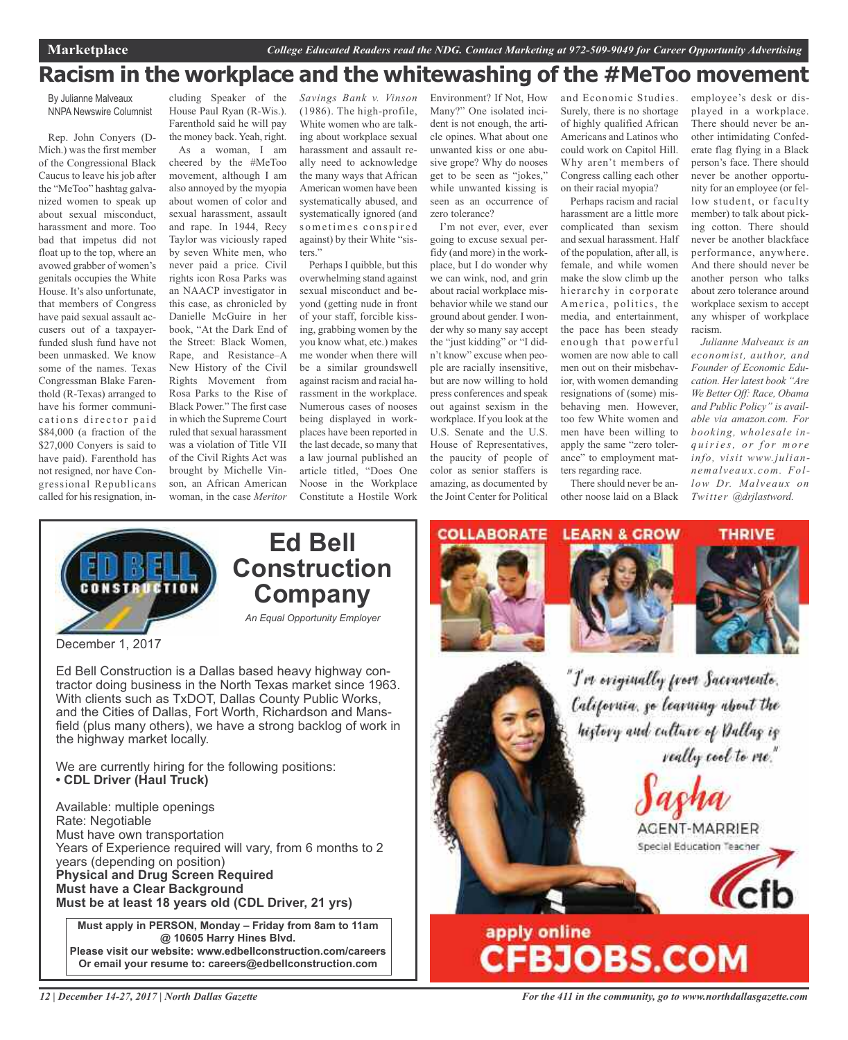## **Racism in the workplace and the whitewashing of the #MeToo movement**

By Julianne Malveaux NNPA Newswire Columnist

Rep. John Conyers (D-Mich.) was the first member of the Congressional Black Caucus to leave his job after the "MeToo" hashtag galvanized women to speak up about sexual misconduct, harassment and more. Too bad that impetus did not float up to the top, where an avowed grabber of women's genitals occupies the White House. It's also unfortunate, that members of Congress have paid sexual assault accusers out of a taxpayerfunded slush fund have not been unmasked. We know some of the names. Texas Congressman Blake Farenthold (R-Texas) arranged to have his former communications director paid \$84,000 (a fraction of the \$27,000 Conyers is said to have paid). Farenthold has not resigned, nor have Congressional Republicans called for his resignation, in-

cluding Speaker of the House Paul Ryan (R-Wis.). Farenthold said he will pay the money back. Yeah, right. As a woman, I am cheered by the #MeToo movement, although I am also annoyed by the myopia about women of color and sexual harassment, assault and rape. In 1944, Recy Taylor was viciously raped by seven White men, who never paid a price. Civil rights icon Rosa Parks was an NAACP investigator in this case, as chronicled by Danielle McGuire in her book, "At the Dark End of the Street: Black Women, Rape, and Resistance–A New History of the Civil Rights Movement from Rosa Parks to the Rise of Black Power." The first case in which the Supreme Court ruled that sexual harassment was a violation of Title VII of the Civil Rights Act was brought by Michelle Vinson, an African American woman, in the case *Meritor*

*Savings Bank v. Vinson* (1986). The high-profile, White women who are talking about workplace sexual harassment and assault really need to acknowledge the many ways that African American women have been systematically abused, and systematically ignored (and sometimes conspired against) by their White "sisters."

Perhaps I quibble, but this overwhelming stand against sexual misconduct and beyond (getting nude in front of your staff, forcible kissing, grabbing women by the you know what, etc.) makes me wonder when there will be a similar groundswell against racism and racial harassment in the workplace. Numerous cases of nooses being displayed in workplaces have been reported in the last decade, so many that a law journal published an article titled, "Does One Noose in the Workplace Constitute a Hostile Work

Environment? If Not, How Many?" One isolated incident is not enough, the article opines. What about one unwanted kiss or one abusive grope? Why do nooses get to be seen as "jokes," while unwanted kissing is seen as an occurrence of zero tolerance?

I'm not ever, ever, ever going to excuse sexual perfidy (and more) in the workplace, but I do wonder why we can wink, nod, and grin about racial workplace misbehavior while we stand our ground about gender. I wonder why so many say accept the "just kidding" or "I didn't know" excuse when people are racially insensitive, but are now willing to hold press conferences and speak out against sexism in the workplace. If you look at the U.S. Senate and the U.S. House of Representatives, the paucity of people of color as senior staffers is amazing, as documented by the Joint Center for Political

and Economic Studies. Surely, there is no shortage of highly qualified African Americans and Latinos who could work on Capitol Hill. Why aren't members of Congress calling each other on their racial myopia?

Perhaps racism and racial harassment are a little more complicated than sexism and sexual harassment. Half of the population, after all, is female, and while women make the slow climb up the hierarchy in corporate America, politics, the media, and entertainment, the pace has been steady enough that powerful women are now able to call men out on their misbehavior, with women demanding resignations of (some) misbehaving men. However, too few White women and men have been willing to apply the same "zero tolerance" to employment matters regarding race.

There should never be another noose laid on a Black

employee's desk or displayed in a workplace. There should never be another intimidating Confederate flag flying in a Black person's face. There should never be another opportunity for an employee (or fellow student, or faculty member) to talk about picking cotton. There should never be another blackface performance, anywhere. And there should never be another person who talks about zero tolerance around workplace sexism to accept any whisper of workplace racism.

*Julianne Malveaux is an economist, author, and Founder of Economic Education. Her latest book "Are We Better Off: Race, Obama and Public Policy" is available via amazon.com. For booking, wholesale inq u iri e s, o r f o r m o r e info, visit www.juliannemalveaux.com. Follow Dr. Malveaux on Twitter @drjlastword.*



December 1, 2017

Ed Bell Construction is a Dallas based heavy highway contractor doing business in the North Texas market since 1963. With clients such as TxDOT, Dallas County Public Works, and the Cities of Dallas, Fort Worth, Richardson and Mansfield (plus many others), we have a strong backlog of work in the highway market locally.

We are currently hiring for the following positions: **• CDL Driver (Haul Truck)**

Available: multiple openings Rate: Negotiable Must have own transportation Years of Experience required will vary, from 6 months to 2 years (depending on position) **Physical and Drug Screen Required Must have a Clear Background Must be at least 18 years old (CDL Driver, 21 yrs)**

**Must apply in PERSON, Monday – Friday from 8am to 11am @ 10605 Harry Hines Blvd. Please visit our website: www.edbellconstruction.com/careers Or email your resume to: careers@edbellconstruction.com**

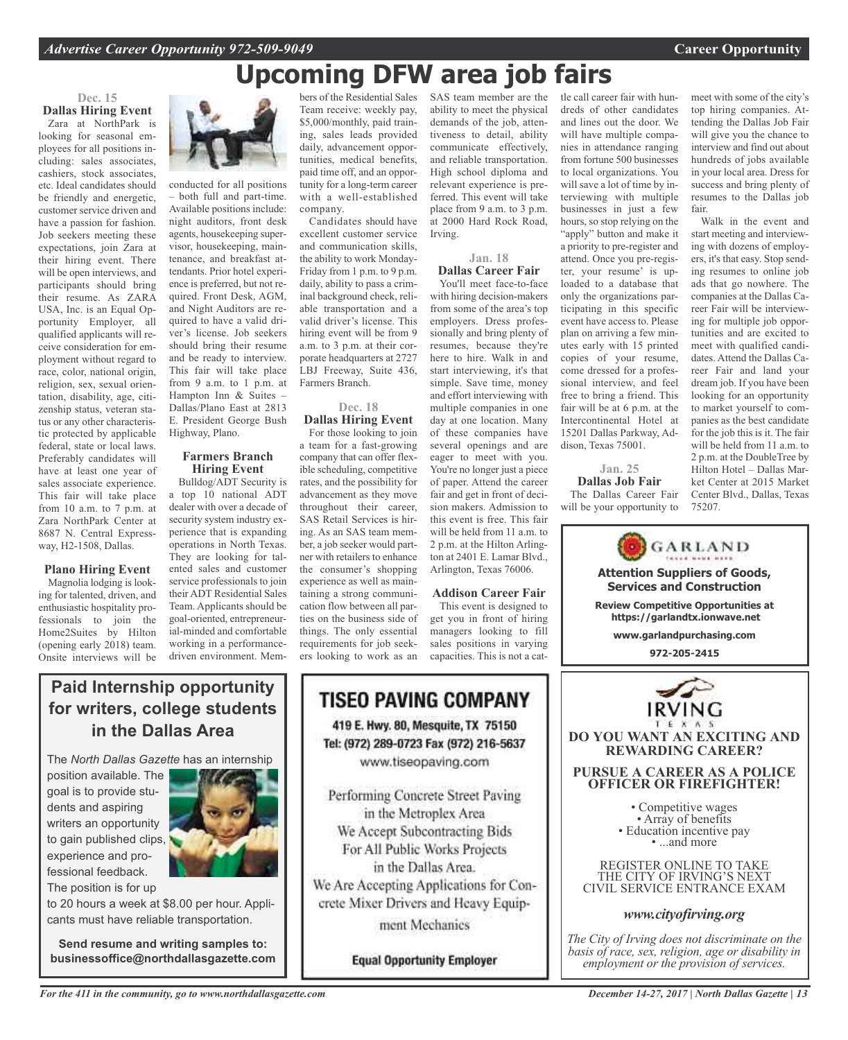## **Upcoming DFW area job fairs**

### **Dec. 15 Dallas Hiring Event**

Zara at NorthPark is looking for seasonal employees for all positions including: sales associates, cashiers, stock associates, etc. Ideal candidates should be friendly and energetic, customer service driven and have a passion for fashion. Job seekers meeting these expectations, join Zara at their hiring event. There will be open interviews, and participants should bring their resume. As ZARA USA, Inc. is an Equal Opportunity Employer, all qualified applicants will receive consideration for employment without regard to race, color, national origin, religion, sex, sexual orientation, disability, age, citizenship status, veteran status or any other characteristic protected by applicable federal, state or local laws. Preferably candidates will have at least one year of sales associate experience. This fair will take place from 10 a.m. to 7 p.m. at Zara NorthPark Center at 8687 N. Central Expressway, H2-1508, Dallas.

### **Plano Hiring Event**

Magnolia lodging is looking for talented, driven, and enthusiastic hospitality professionals to join the Home2Suites by Hilton (opening early 2018) team. Onsite interviews will be



conducted for all positions both full and part-time. Available positions include: night auditors, front desk agents, housekeeping supervisor, housekeeping, maintenance, and breakfast attendants. Prior hotel experience is preferred, but not required. Front Desk, AGM, and Night Auditors are required to have a valid driver's license. Job seekers should bring their resume and be ready to interview. This fair will take place from 9 a.m. to 1 p.m. at Hampton Inn & Suites – Dallas/Plano East at 2813 E. President George Bush Highway, Plano.

### **Farmers Branch Hiring Event**

Bulldog/ADT Security is a top 10 national ADT dealer with over a decade of security system industry experience that is expanding operations in North Texas. They are looking for talented sales and customer service professionals to join their ADT Residential Sales Team. Applicants should be goal-oriented, entrepreneurial-minded and comfortable working in a performancedriven environment. Mem-

bers of the Residential Sales Team receive: weekly pay, \$5,000/monthly, paid training, sales leads provided daily, advancement opportunities, medical benefits, paid time off, and an opportunity for a long-term career with a well-established company.

Candidates should have excellent customer service and communication skills, the ability to work Monday-Friday from 1 p.m. to 9 p.m. daily, ability to pass a criminal background check, reliable transportation and a valid driver's license. This hiring event will be from 9 a.m. to 3 p.m. at their corporate headquarters at 2727 LBJ Freeway, Suite 436, Farmers Branch.

### **Dec. 18 Dallas Hiring Event**

For those looking to join a team for a fast-growing company that can offer flexible scheduling, competitive rates, and the possibility for advancement as they move throughout their career, SAS Retail Services is hiring. As an SAS team member, a job seeker would partner with retailers to enhance the consumer's shopping experience as well as maintaining a strong communication flow between all parties on the business side of things. The only essential requirements for job seekers looking to work as an

SAS team member are the ability to meet the physical demands of the job, attentiveness to detail, ability communicate effectively, and reliable transportation. High school diploma and relevant experience is preferred. This event will take place from 9 a.m. to 3 p.m. at 2000 Hard Rock Road, Irving.

### **Jan. 18 Dallas Career Fair**

You'll meet face-to-face with hiring decision-makers from some of the area's top employers. Dress professionally and bring plenty of resumes, because they're here to hire. Walk in and start interviewing, it's that simple. Save time, money and effort interviewing with multiple companies in one day at one location. Many of these companies have several openings and are eager to meet with you. You're no longer just a piece of paper. Attend the career fair and get in front of decision makers. Admission to this event is free. This fair will be held from  $11a$  m to 2 p.m. at the Hilton Arlington at 2401 E. Lamar Blvd., Arlington, Texas 76006.

### **Addison Career Fair**

This event is designed to get you in front of hiring managers looking to fill sales positions in varying capacities. This is not a cattle call career fair with hundreds of other candidates and lines out the door. We will have multiple companies in attendance ranging from fortune 500 businesses to local organizations. You will save a lot of time by interviewing with multiple businesses in just a few hours, so stop relying on the "apply" button and make it a priority to pre-register and attend. Once you pre-register, your resume' is uploaded to a database that only the organizations participating in this specific event have access to. Please plan on arriving a few minutes early with 15 printed copies of your resume, come dressed for a professional interview, and feel free to bring a friend. This fair will be at 6 p.m. at the Intercontinental Hotel at 15201 Dallas Parkway, Addison, Texas 75001.

**Jan. 25 Dallas Job Fair** The Dallas Career Fair will be your opportunity to

meet with some of the city's top hiring companies. Attending the Dallas Job Fair will give you the chance to interview and find out about hundreds of jobs available in your local area. Dress for success and bring plenty of resumes to the Dallas job fair.

Walk in the event and start meeting and interviewing with dozens of employers, it's that easy. Stop sending resumes to online job ads that go nowhere. The companies at the Dallas Career Fair will be interviewing for multiple job opportunities and are excited to meet with qualified candidates. Attend the Dallas Career Fair and land your dream job. If you have been looking for an opportunity to market yourself to companies as the best candidate for the job this is it. The fair will be held from 11 a.m. to 2 p.m. at the DoubleTree by Hilton Hotel – Dallas Market Center at 2015 Market Center Blvd., Dallas, Texas 75207.

GARLAND **Attention Suppliers of Goods, Services and Construction Review Competitive Opportunities at https://garlandtx.ionwave.net www.garlandpurchasing.com 972-205-2415 DO YOU WANT AN EXCITING AND REWARDING CAREER? PURSUE A CAREER AS A POLICE OFFICER OR FIREFIGHTER!** • Competitive wages<br>• Array of benefits<br>• Education incentive pay<br>• ...and more REGISTER ONLINE TO TAKE THE CITY OF IRVING'S NEXT CIVIL SERVICE ENTRANCE EXAM

## *www.cityofirving.org*

*The City of Irving does not discriminate on the basis of race, sex, religion, age or disability in employment or the provision of services.*

### **Paid Internship opportunity for writers, college students in the Dallas Area**

The *North Dallas Gazette* has an internship

position available. The goal is to provide students and aspiring writers an opportunity to gain published clips, experience and professional feedback. The position is for up



to 20 hours a week at \$8.00 per hour. Applicants must have reliable transportation.

**Send resume and writing samples to: businessoffice@northdallasgazette.com**

## **TISEO PAVING COMPANY** 419 E. Hwy. 80, Mesquite, TX 75150 Tel: (972) 289-0723 Fax (972) 216-5637 www.tiseopaving.com

Performing Concrete Street Paving in the Metroplex Area We Accept Subcontracting Bids For All Public Works Projects in the Dallas Area. We Are Accepting Applications for Concrete Mixer Drivers and Heavy Equipment Mechanics

**Equal Opportunity Employer**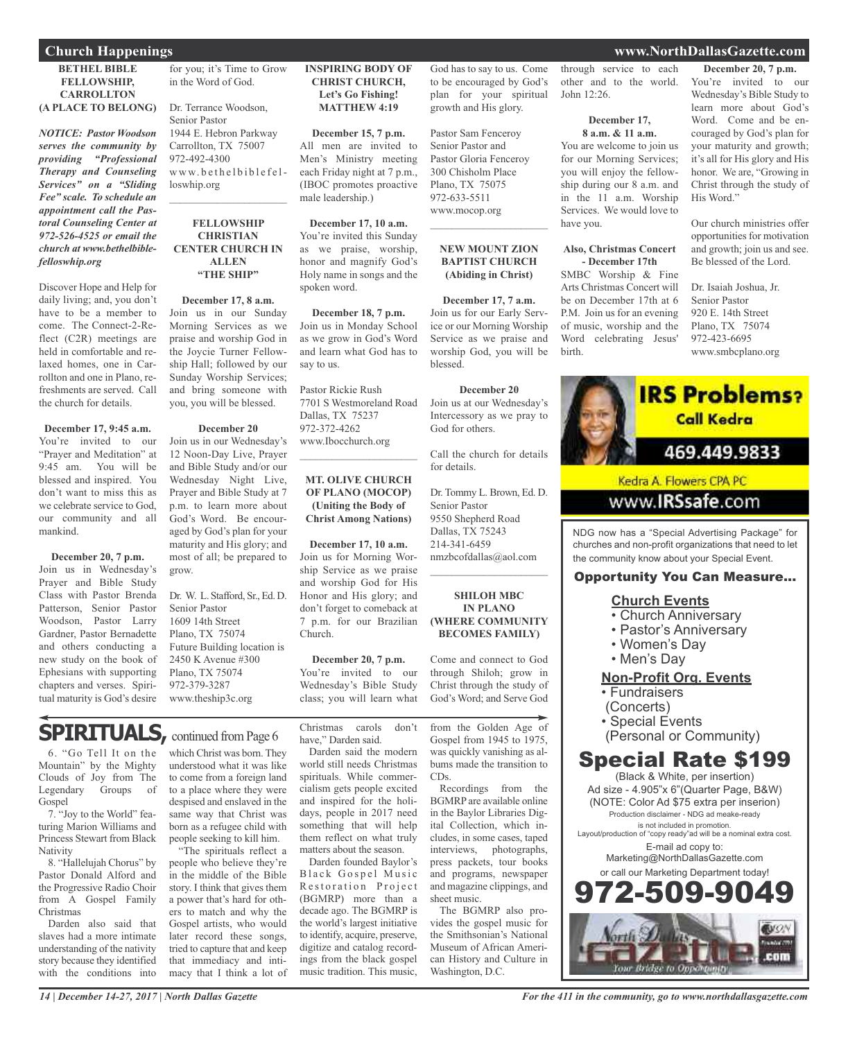### **BETHEL BIBLE FELLOWSHIP, CARROLLTON (A PLACE TO BELONG)**

*NOTICE: Pastor Woodson serves the community by providing "Professional Therapy and Counseling Services" on a "Sliding Fee" scale. To schedule an appointment call the Pastoral Counseling Center at 972-526-4525 or email the church at www.bethelbiblefelloswhip.org*

Discover Hope and Help for daily living; and, you don't have to be a member to come. The Connect-2-Reflect (C2R) meetings are held in comfortable and relaxed homes, one in Carrollton and one in Plano, refreshments are served. Call the church for details.

### **December 17, 9:45 a.m.**

You're invited to our "Prayer and Meditation" at 9:45 am. You will be blessed and inspired. You don't want to miss this as we celebrate service to God our community and all mankind.

### **December 20, 7 p.m.**

Join us in Wednesday's Prayer and Bible Study Class with Pastor Brenda Patterson, Senior Pastor Woodson, Pastor Larry Gardner, Pastor Bernadette and others conducting a new study on the book of Ephesians with supporting chapters and verses. Spiritual maturity is God's desire for you; it's Time to Grow in the Word of God.

Dr. Terrance Woodson, Senior Pastor 1944 E. Hebron Parkway Carrollton, TX 75007 972-492-4300  $w w w.bethelbiblefel$ loswhip.org  $\mathcal{L}_\text{max}$  , which is a set of the set of the set of the set of the set of the set of the set of the set of the set of the set of the set of the set of the set of the set of the set of the set of the set of the set of

### **FELLOWSHIP CHRISTIAN CENTER CHURCH IN ALLEN "THE SHIP"**

**December 17, 8 a.m.** Join us in our Sunday Morning Services as we praise and worship God in the Joycie Turner Fellowship Hall; followed by our Sunday Worship Services; and bring someone with you, you will be blessed.

### **December 20**

Join us in our Wednesday's 12 Noon-Day Live, Prayer and Bible Study and/or our Wednesday Night Live, Prayer and Bible Study at 7 p.m. to learn more about God's Word. Be encouraged by God's plan for your maturity and His glory; and most of all; be prepared to grow.

Dr. W. L. Stafford, Sr., Ed. D. Senior Pastor 1609 14th Street Plano, TX 75074 Future Building location is 2450 K Avenue #300 Plano, TX 75074 972-379-3287 www.theship3c.org

### **INSPIRING BODY OF CHRIST CHURCH, Let's Go Fishing! MATTHEW 4:19**

**December 15, 7 p.m.** All men are invited to Men's Ministry meeting each Friday night at 7 p.m., (IBOC promotes proactive male leadership.)

**December 17, 10 a.m.** You're invited this Sunday as we praise, worship, honor and magnify God's Holy name in songs and the spoken word.

**December 18, 7 p.m.** Join us in Monday School as we grow in God's Word and learn what God has to say to us.

Pastor Rickie Rush 7701 S Westmoreland Road Dallas, TX 75237 972-372-4262 www.Ibocchurch.org

### **MT. OLIVE CHURCH OF PLANO (MOCOP) (Uniting the Body of Christ Among Nations)**

 $\mathcal{L}_\text{max}$  , which is a set of the set of the set of the set of the set of the set of the set of the set of the set of the set of the set of the set of the set of the set of the set of the set of the set of the set of

**December 17, 10 a.m.** Join us for Morning Worship Service as we praise and worship God for His Honor and His glory; and don't forget to comeback at 7 p.m. for our Brazilian Church.

### **December 20, 7 p.m.** You're invited to our

Wednesday's Bible Study class; you will learn what

**SPIRITUALS, continued from Page 6** 

6. "Go Tell It on the Mountain" by the Mighty Clouds of Joy from The Legendary Groups of Gospel

7. "Joy to the World" featuring Marion Williams and Princess Stewart from Black **Nativity** 

8. "Hallelujah Chorus" by Pastor Donald Alford and the Progressive Radio Choir from A Gospel Family Christmas

Darden also said that slaves had a more intimate understanding of the nativity story because they identified with the conditions into

which Christ was born. They understood what it was like to come from a foreign land to a place where they were despised and enslaved in the same way that Christ was born as a refugee child with people seeking to kill him.

"The spirituals reflect a people who believe they're in the middle of the Bible story. I think that gives them a power that's hard for others to match and why the Gospel artists, who would later record these songs, tried to capture that and keep that immediacy and intimacy that I think a lot of Christmas carols don't have," Darden said.

Darden said the modern world still needs Christmas spirituals. While commercialism gets people excited and inspired for the holidays, people in 2017 need something that will help them reflect on what truly matters about the season.

Darden founded Baylor's Black Gospel Music Restoration Project (BGMRP) more than a decade ago. The BGMRP is the world's largest initiative to identify, acquire, preserve, digitize and catalog recordings from the black gospel music tradition. This music,

God has to say to us. Come to be encouraged by God's plan for your spiritual growth and His glory.

Pastor Sam Fenceroy Senior Pastor and Pastor Gloria Fenceroy 300 Chisholm Place Plano, TX 75075 972-633-5511 www.mocop.org

### **NEW MOUNT ZION BAPTIST CHURCH (Abiding in Christ)**

 $\overline{\phantom{a}}$  , which is a set of the set of the set of the set of the set of the set of the set of the set of the set of the set of the set of the set of the set of the set of the set of the set of the set of the set of th

**December 17, 7 a.m.** Join us for our Early Service or our Morning Worship Service as we praise and worship God, you will be blessed.

**December 20**

Join us at our Wednesday's Intercessory as we pray to God for others.

Call the church for details for details.

Dr. Tommy L. Brown, Ed. D. Senior Pastor 9550 Shepherd Road Dallas, TX 75243 214-341-6459 nmzbcofdallas@aol.com  $\overline{\phantom{a}}$  , which is a set of the set of the set of the set of the set of the set of the set of the set of the set of the set of the set of the set of the set of the set of the set of the set of the set of the set of th

### **SHILOH MBC IN PLANO (WHERE COMMUNITY BECOMES FAMILY)**

Come and connect to God through Shiloh; grow in Christ through the study of God's Word; and Serve God

from the Golden Age of Gospel from 1945 to 1975, was quickly vanishing as albums made the transition to CDs.

Recordings from the BGMRP are available online in the Baylor Libraries Digital Collection, which includes, in some cases, taped interviews, photographs, press packets, tour books and programs, newspaper and magazine clippings, and sheet music.

The BGMRP also provides the gospel music for the Smithsonian's National Museum of African American History and Culture in Washington, D.C.

through service to each other and to the world. John 12:26.

### **December 17,**

**8 a.m. & 11 a.m.** You are welcome to join us for our Morning Services; you will enjoy the fellowship during our 8 a.m. and in the 11 a.m. Worship Services. We would love to have you.

### **Also, Christmas Concert - December 17th**

SMBC Worship & Fine Arts Christmas Concert will be on December 17th at 6 P.M. Join us for an evening of music, worship and the Word celebrating Jesus' birth.

**December 20, 7 p.m.** You're invited to our Wednesday's Bible Study to learn more about God's Word. Come and be encouraged by God's plan for your maturity and growth; it's all for His glory and His honor. We are, "Growing in Christ through the study of His Word."

Our church ministries offer opportunities for motivation and growth; join us and see. Be blessed of the Lord.

Dr. Isaiah Joshua, Jr. Senior Pastor 920 E. 14th Street Plano, TX 75074 972-423-6695 www.smbcplano.org



NDG now has a "Special Advertising Package" for churches and non-profit organizations that need to let the community know about your Special Event.

### Opportunity You Can Measure...

### **Church Events**

- Church Anniversary
- Pastor's Anniversary
- Women's Day
- Men's Day

### **Non-Profit Org. Events**

- Fundraisers
- (Concerts)
- Special Events
- (Personal or Community)

## Special Rate \$199

(Black & White, per insertion) Ad size - 4.905"x 6"(Quarter Page, B&W) (NOTE: Color Ad \$75 extra per inserion) Production disclaimer - NDG ad meake-ready is not included in promotion. Layout/production of "copy ready"ad will be a nominal extra cost. E-mail ad copy to: Marketing@NorthDallasGazette.com or call our Marketing Department today! 2.509.90



*14 | December 14-27, 2017 | North Dallas Gazette*

### **Church Happenings www.NorthDallasGazette.com**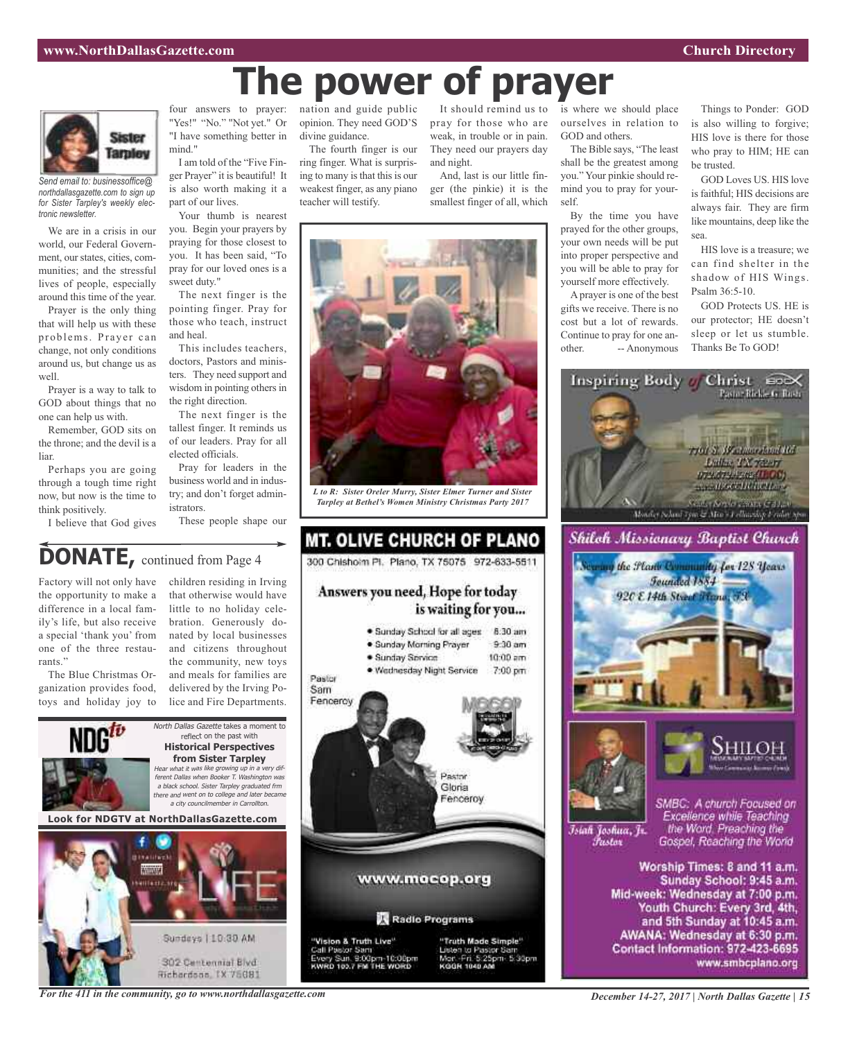# **The power of prayer**



*Send email to: businessoffice@ northdallasgazette.com to sign up for Sister Tarpley's weekly electronic newsletter.*

We are in a crisis in our world, our Federal Government, our states, cities, communities; and the stressful lives of people, especially around this time of the year.

Prayer is the only thing that will help us with these problems. Prayer can change, not only conditions around us, but change us as well.

Prayer is a way to talk to GOD about things that no one can help us with.

Remember, GOD sits on the throne; and the devil is a liar.

Perhaps you are going through a tough time right now, but now is the time to think positively.

I believe that God gives

four answers to prayer: "Yes!" "No." "Not yet." Or "I have something better in mind."

I am told of the "Five Finger Prayer" it is beautiful! It is also worth making it a part of our lives.

Your thumb is nearest you. Begin your prayers by praying for those closest to you. It has been said, "To pray for our loved ones is a sweet duty."

The next finger is the pointing finger. Pray for those who teach, instruct and heal.

This includes teachers, doctors, Pastors and ministers. They need support and wisdom in pointing others in the right direction.

The next finger is the tallest finger. It reminds us of our leaders. Pray for all elected officials.

Pray for leaders in the business world and in industry; and don't forget administrators.

These people shape our

### nation and guide public opinion. They need GOD'S divine guidance.

The fourth finger is our ring finger. What is surprising to many is that this is our weakest finger, as any piano teacher will testify.

It should remind us to is where we should place pray for those who are weak, in trouble or in pain. They need our prayers day and night.

And, last is our little finger (the pinkie) it is the smallest finger of all, which



*L to R: Sister Oreler Murry, Sister Elmer Turner and Sister Tarpley at Bethel's Women Ministry Christmas Party 2017*

**MT. OLIVE CHURCH OF PLANO** 

300 Chishoim Pl. Plano, TX 75075 972-633-5511

Answers you need, Hope for today

## **DONATE,** continued from Page <sup>4</sup>

Factory will not only have the opportunity to make a difference in a local family's life, but also receive a special 'thank you' from one of the three restaurants."

The Blue Christmas Organization provides food, toys and holiday joy to

children residing in Irving that otherwise would have little to no holiday celebration. Generously donated by local businesses and citizens throughout the community, new toys and meals for families are delivered by the Irving Police and Fire Departments.



302 Centennial Blvd Richardson, TX 75081





ourselves in relation to

The Bible says, "The least shall be the greatest among you." Your pinkie should remind you to pray for your-

By the time you have prayed for the other groups, your own needs will be put into proper perspective and you will be able to pray for yourself more effectively.

GOD and others.

self.

Things to Ponder: GOD is also willing to forgive; HIS love is there for those who pray to HIM; HE can be trusted.

GOD Loves US. HIS love is faithful; HIS decisions are always fair. They are firm like mountains, deep like the sea.

HIS love is a treasure; we can find shelter in the shadow of HIS Wings. Psalm 36:5-10.

GOD Protects US. HE is our protector; HE doesn't sleep or let us stumble. Thanks Be To GOD!

Pasto - Rickle G. Tuere



Īsiah Joshua, Jr. Fustor

Excellence while Teaching the Word. Preaching the Gospel, Reaching the World

Worship Times: 8 and 11 a.m. Sunday School: 9:45 a.m. Mid-week: Wednesday at 7:00 p.m. Youth Church: Every 3rd, 4th, and 5th Sunday at 10:45 a.m. AWANA: Wednesday at 6:30 p.m. Contact Information: 972-423-6695 www.smbcplano.org

*For the 411 in the community, go to www.northdallasgazette.com*